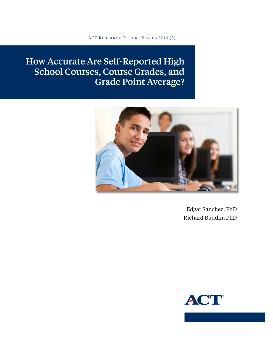ACT Research Report Series 2016 (3)

# How Accurate Are Self-Reported High School Courses, Course Grades, and Grade Point Average?



Edgar Sanchez, PhD Richard Buddin, PhD

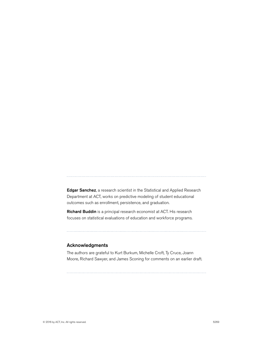Edgar Sanchez, a research scientist in the Statistical and Applied Research Department at ACT, works on predictive modeling of student educational outcomes such as enrollment, persistence, and graduation.

Richard Buddin is a principal research economist at ACT. His research focuses on statistical evaluations of education and workforce programs.

#### Acknowledgments

The authors are grateful to Kurt Burkum, Michelle Croft, Ty Cruce, Joann Moore, Richard Sawyer, and James Sconing for comments on an earlier draft.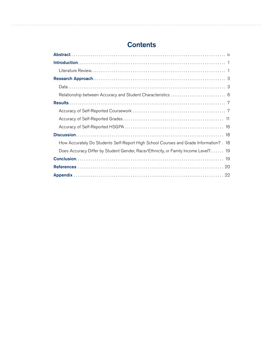# **Contents**

| How Accurately Do Students Self-Report High School Courses and Grade Information? . 18 |
|----------------------------------------------------------------------------------------|
| Does Accuracy Differ by Student Gender, Race/Ethnicity, or Family Income Level? 19     |
|                                                                                        |
|                                                                                        |
|                                                                                        |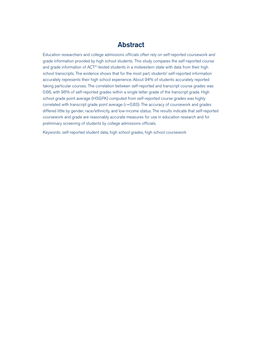# Abstract

<span id="page-3-0"></span>Education researchers and college admissions officials often rely on self-reported coursework and grade information provided by high school students. This study compares the self-reported course and grade information of ACT®-tested students in a midwestern state with data from their high school transcripts. The evidence shows that for the most part, students' self-reported information accurately represents their high school experience. About 94% of students accurately reported taking particular courses. The correlation between self-reported and transcript course grades was 0.66, with 96% of self-reported grades within a single letter grade of the transcript grade. High school grade point average (HSGPA) computed from self-reported course grades was highly correlated with transcript grade point average (*r*=0.83). The accuracy of coursework and grades differed little by gender, race/ethnicity, and low-income status. The results indicate that self-reported coursework and grade are reasonably accurate measures for use in education research and for preliminary screening of students by college admissions officials.

Keywords: self-reported student data, high school grades, high school coursework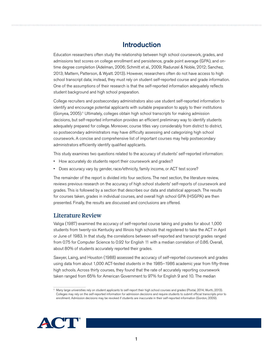# Introduction

<span id="page-4-0"></span>Education researchers often study the relationship between high school coursework, grades, and admissions test scores on college enrollment and persistence, grade point average (GPA), and ontime degree completion (Adelman, 2006; Schmitt et al., 2009; Radunzel & Noble, 2012; Sanchez, 2013; Mattern, Patterson, & Wyatt. 2013). However, researchers often do not have access to high school transcript data; instead, they must rely on student self-reported course and grade information. One of the assumptions of their research is that the self-reported information adequately reflects student background and high school preparation.

College recruiters and postsecondary administrators also use student self-reported information to identify and encourage potential applicants with suitable preparation to apply to their institutions (Gonyea, 2005).<sup>1</sup> Ultimately, colleges obtain high school transcripts for making admission decisions, but self-reported information provides an efficient preliminary way to identify students adequately prepared for college. Moreover, course titles vary considerably from district to district, so postsecondary administrators may have difficulty assessing and categorizing high school coursework. A concise and comprehensive list of important courses may help postsecondary administrators efficiently identify qualified applicants.

This study examines two questions related to the accuracy of students' self-reported information:

- How accurately do students report their coursework and grades?
- Does accuracy vary by gender, race/ethnicity, family income, or ACT test score?

The remainder of the report is divided into four sections. The next section, the literature review, reviews previous research on the accuracy of high school students' self-reports of coursework and grades. This is followed by a section that describes our data and statistical approach. The results for courses taken, grades in individual courses, and overall high school GPA (HSGPA) are then presented. Finally, the results are discussed and conclusions are offered.

### Literature Review

Valiga (1987) examined the accuracy of self-reported course taking and grades for about 1,000 students from twenty-six Kentucky and Illinois high schools that registered to take the ACT in April or June of 1983. In that study, the correlations between self-reported and transcript grades ranged from 0.75 for Computer Science to 0.92 for English 11 with a median correlation of 0.86. Overall, about 80% of students accurately reported their grades.

Sawyer, Laing, and Houston (1988) assessed the accuracy of self-reported coursework and grades using data from about 1,000 ACT-tested students in the 1985–1986 academic year from fifty-three high schools. Across thirty courses, they found that the rate of accurately reporting coursework taken ranged from 65% for American Government to 97% for English 9 and 10. The median

<sup>1</sup> Many large universities rely on student applicants to self-report their high school courses and grades (Postal, 2014; Wurth, 2013). Colleges may rely on the self-reported information for admission decisions and require students to submit official transcripts prior to enrollment. Admission decisions may be revoked if students are inaccurate in their self-reported information (Gordon, 2009).

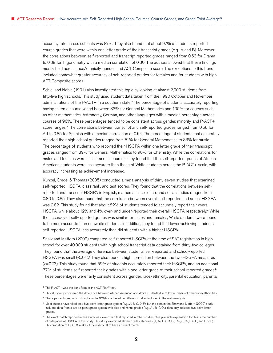accuracy rate across subjects was 87%. They also found that about 97% of students reported course grades that were within one letter grade of their transcript grades (e.g., A and B). Moreover, the correlations between self-reported and transcript reported grades ranged from 0.53 for Drama to 0.89 for Trigonometry with a median correlation of 0.80. The authors showed that these findings mostly held across race/ethnicity, gender, and ACT Composite score. The exceptions to this trend included somewhat greater accuracy of self-reported grades for females and for students with high ACT Composite scores.

Schiel and Noble (1991) also investigated this topic by looking at almost 2,000 students from fifty-five high schools. This study used student data taken from the 1990 October and November administrations of the P-ACT+ in a southern state.<sup>2</sup> The percentage of students accurately reporting having taken a course varied between 83% for General Mathematics and 100% for courses such as other mathematics, Astronomy, German, and other languages with a median percentage across courses of 96%. These percentages tended to be consistent across gender, minority, and P-ACT+ score ranges.<sup>3</sup> The correlations between transcript and self-reported grades ranged from 0.58 for Art to 0.85 for Spanish with a median correlation of 0.64. The percentage of students that accurately reported their high school grades ranged from 51% for General Mathematics to 83% for music. The percentage of students who reported their HSGPA within one letter grade of their transcript grades ranged from 89% for General Mathematics to 98% for Chemistry. While the correlations for males and females were similar across courses, they found that the self-reported grades of African American students were less accurate than those of White students across the P-ACT+ scale, with accuracy increasing as achievement increased.

Kuncel, Credé, & Thomas (2005) conducted a meta-analysis of thirty-seven studies that examined self-reported HSGPA, class rank, and test scores. They found that the correlations between selfreported and transcript HSGPA in English, mathematics, science, and social studies ranged from 0.80 to 0.85. They also found that the correlation between overall self-reported and actual HSGPA was 0.82. This study found that about 82% of students tended to accurately report their overall HSGPA, while about 12% and 4% over- and under-reported their overall HSGPA respectively.<sup>4</sup> While the accuracy of self-reported grades was similar for males and females, White students were found to be more accurate than nonwhite students. In addition, they found that lower-achieving students self-reported HSGPA less accurately than did students with a higher HSGPA.

Shaw and Mattern (2009) compared self-reported HSGPA at the time of SAT registration in high school for over 40,000 students with high school transcript data obtained from thirty-two colleges. They found that the average difference between students' self-reported and school-reported HSGPA was small (-0.04).<sup>5</sup> They also found a high correlation between the two HSGPA measures (*r*=0.73). This study found that 52% of students accurately reported their HSGPA, and an additional 37% of students self-reported their grades within one letter grade of their school-reported grades.<sup>6</sup> These percentages were fairly consistent across gender, race/ethnicity, parental education, parental

<sup>2</sup> The P-ACT+ was the early form of the ACT Plan® test.

<sup>&</sup>lt;sup>3</sup> This study only compared the difference between African American and White students due to low numbers of other race/ethnicities.

<sup>4</sup> These percentages, which do not sum to 100%, are based on different studies included in the meta-analysis.

<sup>5</sup> Most studies have relied on a five-point letter grade system (e.g., A, B, C, D, F), but the data in the Shaw and Mattern (2009) study included data from a twelve-point grade system with plus and minus grades (e.g., A-, B+). Our data only includes five-point letter grades.

<sup>&</sup>lt;sup>6</sup> The exact match reported in this study was lower than that reported in other studies. One plausible explanation for this is the number of categories of HSGPA in this study. This study examined eleven grade categories (A, A-, B+, B, B-, C+, C, C-, D+, D, and E or F). This gradation of HSGPA makes it more difficult to have an exact match.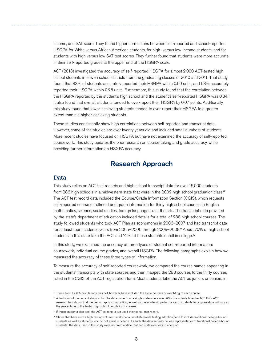<span id="page-6-0"></span>income, and SAT score. They found higher correlations between self-reported and school-reported HSGPA for White versus African American students, for high- versus low-income students, and for students with high versus low SAT test scores. They further found that students were more accurate in their self-reported grades at the upper end of the HSGPA scale.

ACT (2013) investigated the accuracy of self-reported HSGPA for almost 2,000 ACT-tested high school students in eleven school districts from the graduating classes of 2010 and 2011. That study found that 83% of students accurately reported their HSGPA within 0.50 units, and 58% accurately reported their HSGPA within 0.25 units. Furthermore, this study found that the correlation between the HSGPA reported by the student's high school and the student's self-reported HSGPA was 0.84.<sup>7</sup> It also found that overall, students tended to over-report their HSGPA by 0.07 points. Additionally, this study found that lower-achieving students tended to over-report their HSGPA to a greater extent than did higher-achieving students.

These studies consistently show high correlations between self-reported and transcript data. However, some of the studies are over twenty years old and included small numbers of students. More recent studies have focused on HSGPA but have not examined the accuracy of self-reported coursework. This study updates the prior research on course taking and grade accuracy, while providing further information on HSGPA accuracy.

# Research Approach

#### Data

This study relies on ACT test records and high school transcript data for over 15,000 students from 286 high schools in a midwestern state that were in the 2009 high school graduation class.<sup>8</sup> The ACT test record data included the Course/Grade Information Section (CGIS), which requests self-reported course enrollment and grade information for thirty high school courses in English, mathematics, science, social studies, foreign languages, and the arts. The transcript data provided by the state's department of education included details for a total of 288 high school courses. The study followed students who took ACT Plan as sophomores in 2006–2007 and had transcript data for at least four academic years from 2005–2006 through 2008–2009.<sup>9</sup> About 70% of high school students in this state take the ACT and 72% of these students enroll in college.<sup>10</sup>

In this study, we examined the accuracy of three types of student self-reported information: coursework, individual course grades, and overall HSGPA. The following paragraphs explain how we measured the accuracy of these three types of information.

To measure the accuracy of self-reported coursework, we compared the course names appearing in the students' transcripts with state sources and then mapped the 288 courses to the thirty courses listed in the CGIS of the ACT registration form. Most students take the ACT as juniors or seniors in

<sup>7</sup> These two HSGPA calculations may not, however, have included the same courses or weighting of each course.

<sup>&</sup>lt;sup>8</sup> A limitation of the current study is that the data came from a single state where over 70% of students take the ACT. Prior ACT research has shown that the demographic composition, as well as the academic performance, of students for a given state will vary as the percentage of the tested high school population increases.

<sup>&</sup>lt;sup>9</sup> If these students also took the ACT as seniors, we used their senior test record.

<sup>10</sup> States that have such a high testing volume, usually because of statewide testing adoption, tend to include traditional college-bound students as well as students who do not enroll in college. As such, the data set may be less representative of traditional college-bound students. The data used in this study were not from a state that had statewide testing adoption.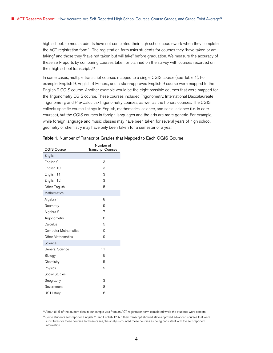high school, so most students have not completed their high school coursework when they complete the ACT registration form.<sup>11</sup> The registration form asks students for courses they "have taken or am taking" and those they "have not taken but will take" before graduation. We measure the accuracy of these self-reports by comparing courses taken or planned on the survey with courses recorded on their high school transcripts.<sup>12</sup>

In some cases, multiple transcript courses mapped to a single CGIS course (see Table 1). For example, English 9, English 9 Honors, and a state-approved English 9 course were mapped to the English 9 CGIS course. Another example would be the eight possible courses that were mapped for the Trigonometry CGIS course. These courses included Trigonometry, International Baccalaureate Trigonometry, and Pre-Calculus/Trigonometry courses, as well as the honors courses. The CGIS collects specific course listings in English, mathematics, science, and social science (i.e. in core courses), but the CGIS courses in foreign languages and the arts are more generic. For example, while foreign language and music classes may have been taken for several years of high school, geometry or chemistry may have only been taken for a semester or a year.

| <b>CGIS Course</b>          | Number of<br><b>Transcript Courses</b> |
|-----------------------------|----------------------------------------|
| English                     |                                        |
| English 9                   | 3                                      |
| English 10                  | 3                                      |
| English 11                  | 3                                      |
| English 12                  | 3                                      |
| Other English               | 15                                     |
| Mathematics                 |                                        |
| Algebra 1                   | 8                                      |
| Geometry                    | 9                                      |
| Algebra 2                   | 7                                      |
| Trigonometry                | 8                                      |
| Calculus                    | 5                                      |
| <b>Computer Mathematics</b> | 10                                     |
| Other Mathematics           | 9                                      |
| Science                     |                                        |
| General Science             | 11                                     |
| Biology                     | 5                                      |
| Chemistry                   | 5                                      |
| Physics                     | 9                                      |
| Social Studies              |                                        |
| Geography                   | 3                                      |
| Government                  | 8                                      |
| US History                  | 6                                      |

<sup>11</sup> About 91% of the student data in our sample was from an ACT registration form completed while the students were seniors.

<sup>&</sup>lt;sup>12</sup> Some students self-reported English 11 and English 12, but their transcript showed state-approved advanced courses that were substitutes for these courses. In these cases, the analysis counted these courses as being consistent with the self-reported information.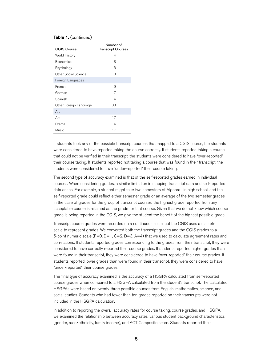#### Table 1. (continued)

| <b>CGIS Course</b>     | Number of<br><b>Transcript Courses</b> |
|------------------------|----------------------------------------|
| World History          | 4                                      |
| Economics              | 3                                      |
| Psychology             | 3                                      |
| Other Social Science   | З                                      |
| Foreign Languages      |                                        |
| French                 | 9                                      |
| German                 | 7                                      |
| Spanish                | 14                                     |
| Other Foreign Language | 33                                     |
| Art                    |                                        |
| Art                    | 17                                     |
| Drama                  | 4                                      |
| Music                  | 17                                     |

If students took any of the possible transcript courses that mapped to a CGIS course, the students were considered to have reported taking the course correctly. If students reported taking a course that could not be verified in their transcript, the students were considered to have "over-reported" their course taking. If students reported not taking a course that was found in their transcript, the students were considered to have "under-reported" their course taking.

The second type of accuracy examined is that of the self-reported grades earned in individual courses. When considering grades, a similar limitation in mapping transcript data and self-reported data arises. For example, a student might take two semesters of Algebra I in high school, and the self-reported grade could reflect either semester grade or an average of the two semester grades. In the case of grades for the group of transcript courses, the highest grade reported from any acceptable course is retained as the grade for that course. Given that we do not know which course grade is being reported in the CGIS, we give the student the benefit of the highest possible grade.

Transcript course grades were recorded on a continuous scale, but the CGIS uses a discrete scale to represent grades. We converted both the transcript grades and the CGIS grades to a 5-point numeric scale  $(F=0, D=1, C=2, B=3, A=4)$  that we used to calculate agreement rates and correlations. If students reported grades corresponding to the grades from their transcript, they were considered to have correctly reported their course grades. If students reported higher grades than were found in their transcript, they were considered to have "over-reported" their course grades. If students reported lower grades than were found in their transcript, they were considered to have "under-reported" their course grades.

The final type of accuracy examined is the accuracy of a HSGPA calculated from self-reported course grades when compared to a HSGPA calculated from the student's transcript. The calculated HSGPAs were based on twenty-three possible courses from English, mathematics, science, and social studies. Students who had fewer than ten grades reported on their transcripts were not included in the HSGPA calculation.

In addition to reporting the overall accuracy rates for course taking, course grades, and HSGPA, we examined the relationship between accuracy rates, various student background characteristics (gender, race/ethnicity, family income), and ACT Composite score. Students reported their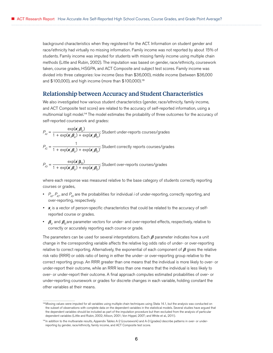<span id="page-9-0"></span>background characteristics when they registered for the ACT. Information on student gender and race/ethnicity had virtually no missing information. Family income was not reported by about 15% of students. Family income was imputed for students with missing family income using multiple chain methods (Little and Rubin, 2002). The imputation was based on gender, race/ethnicity, coursework taken, course grades, HSGPA, and ACT Composite and subject test scores. Family income was divided into three categories: low income (less than \$36,000), middle income (between \$36,000 and \$100,000), and high income (more than \$100,000).<sup>13</sup>

#### Relationship between Accuracy and Student Characteristics

We also investigated how various student characteristics (gender, race/ethnicity, family income, and ACT Composite test score) are related to the accuracy of self-reported information, using a multinomial logit model.<sup>14</sup> The model estimates the probability of three outcomes for the accuracy of self-reported coursework and grades:

$$
P_{ij} = \frac{\exp(\mathbf{x}_i' \mathbf{\beta}_U)}{1 + \exp(\mathbf{x}_i' \mathbf{\beta}_U) + \exp(\mathbf{x}_i' \mathbf{\beta}_O)}
$$
; Student under-reports courses/grades  

$$
P_{iC} = \frac{1}{1 + \exp(\mathbf{x}_i' \mathbf{\beta}_U) + \exp(\mathbf{x}_i' \mathbf{\beta}_O)}
$$
; Student correctly reports courses/grades

$$
P_{i0} = \frac{\exp(\mathbf{x}_i'\mathbf{\beta}_0)}{1 + \exp(\mathbf{x}_i'\mathbf{\beta}_0) + \exp(\mathbf{x}_i'\mathbf{\beta}_0)}
$$
; Student over-reports courses/grades

where each response was measured relative to the base category of students correctly reporting courses or grades,

- $P_{\mu\nu}P_{\nu}$  and  $P_{\nu}$  are the probabilities for individual *i* of under-reporting, correctly reporting, and over-reporting, respectively.
- *• x<sup>i</sup>* is a vector of person-specific characteristics that could be related to the accuracy of selfreported course or grades.
- $\beta_{\mu}$  and  $\beta_{\alpha}$  are parameter vectors for under- and over-reported effects, respectively, relative to correctly or accurately reporting each course or grade.

The parameters can be used for several interpretations. Each  $\beta$  parameter indicates how a unit change in the corresponding variable affects the relative log odds ratio of under- or over-reporting relative to correct reporting. Alternatively, the exponential of each component of  $\beta$  gives the relative risk ratio (RRR) or odds ratio of being in either the under- or over-reporting group relative to the correct reporting group. An RRR greater than one means that the individual is more likely to over- or under-report their outcome, while an RRR less than one means that the individual is less likely to over- or under-report their outcome. A final approach computes estimated probabilities of over- or under-reporting coursework or grades for discrete changes in each variable, holding constant the other variables at their means.

<sup>&</sup>lt;sup>13</sup> Missing values were imputed for all variables using multiple chain techniques using Stata 14.1, but the analysis was conducted on the subset of observations with complete data on the dependent variables in the statistical models. Several studies have argued that the dependent variables should be included as part of the imputation procedure but then excluded from the analysis of particular dependent variables (Little and Rubin, 2002; Allison, 2001; Von Hippel, 2007; and White et al., 2011).

<sup>14</sup> In addition to the multivariate results, Appendix Tables A-2 (coursework) and A-3 (grades) describe patterns in over- or underreporting by gender, race/ethnicity, family income, and ACT Composite test score.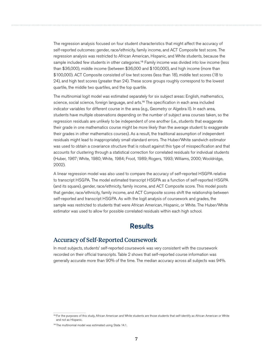<span id="page-10-0"></span>The regression analysis focused on four student characteristics that might affect the accuracy of self-reported outcomes: gender, race/ethnicity, family income, and ACT Composite test score. The regression analysis was restricted to African American, Hispanic, and White students, because the sample included few students in other categories.<sup>15</sup> Family income was divided into low income (less than \$36,000), middle income (between \$36,000 and \$100,000), and high income (more than \$100,000). ACT Composite consisted of low test scores (less than 18), middle test scores (18 to 24), and high test scores (greater than 24). These score groups roughly correspond to the lowest quartile, the middle two quartiles, and the top quartile.

The multinomial logit model was estimated separately for six subject areas: English, mathematics, science, social science, foreign language, and arts.<sup>16</sup> The specification in each area included indicator variables for different course in the area (e.g., Geometry or Algebra II). In each area, students have multiple observations depending on the number of subject area courses taken, so the regression residuals are unlikely to be independent of one another (i.e., students that exaggerate their grade in one mathematics course might be more likely than the average student to exaggerate their grades in other mathematics courses). As a result, the traditional assumption of independent residuals might lead to inappropriately small standard errors. The Huber/White sandwich estimator was used to obtain a covariance structure that is robust against this type of misspecification and that accounts for clustering through a statistical correction for correlated residuals for individual students (Huber, 1967; White, 1980; White, 1984; Froot, 1989; Rogers, 1993; Williams, 2000; Wooldridge, 2002).

A linear regression model was also used to compare the accuracy of self-reported HSGPA relative to transcript HSGPA. The model estimated transcript HSGPA as a function of self-reported HSGPA (and its square), gender, race/ethnicity, family income, and ACT Composite score. This model posits that gender, race/ethnicity, family income, and ACT Composite scores shift the relationship between self-reported and transcript HSGPA. As with the logit analysis of coursework and grades, the sample was restricted to students that were African American, Hispanic, or White. The Huber/White estimator was used to allow for possible correlated residuals within each high school.

# **Results**

### Accuracy of Self-Reported Coursework

In most subjects, students' self-reported coursework was very consistent with the coursework recorded on their official transcripts. Table 2 shows that self-reported course information was generally accurate more than 90% of the time. The median accuracy across all subjects was 94%.

<sup>&</sup>lt;sup>15</sup> For the purposes of this study, African American and White students are those students that self-identify as African American or White and not as Hispanic.

<sup>16</sup> The multinomial model was estimated using Stata 14.1.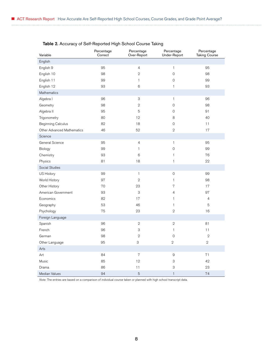| Variable                          | Percentage<br>Correct | Percentage<br>Over-Report | Percentage<br>Under-Report | Percentage<br><b>Taking Course</b> |
|-----------------------------------|-----------------------|---------------------------|----------------------------|------------------------------------|
| English                           |                       |                           |                            |                                    |
| English 9                         | 95                    | $\sqrt{4}$                | $\mathbf{1}$               | 95                                 |
| English 10                        | 98                    | $\mathbf{2}$              | $\mathbf 0$                | 98                                 |
| English 11                        | 99                    | $\mathbf{1}$              | $\mathbf 0$                | 99                                 |
| English 12                        | 93                    | 6                         | $\mathbf{1}$               | 93                                 |
| <b>Mathematics</b>                |                       |                           |                            |                                    |
| Algebra I                         | 96                    | 3                         | $\mathbf{1}$               | 96                                 |
| Geometry                          | 98                    | $\overline{2}$            | $\mathbf 0$                | 98                                 |
| Algebra II                        | 95                    | 5                         | $\mathsf O$                | 91                                 |
| Trigonometry                      | 80                    | 12                        | 8                          | 40                                 |
| <b>Beginning Calculus</b>         | 82                    | 18                        | $\mathsf O$                | 11                                 |
| <b>Other Advanced Mathematics</b> | 46                    | 52                        | $\mathbf{2}$               | 17                                 |
| Science                           |                       |                           |                            |                                    |
| General Science                   | 95                    | $\overline{4}$            | $\mathbf{1}$               | 95                                 |
| Biology                           | 99                    | $\mathbf{1}$              | $\mathsf O$                | 99                                 |
| Chemistry                         | 93                    | 6                         | $\mathbf{1}$               | 76                                 |
| Physics                           | 81                    | 18                        | $\mathbf{1}$               | 22                                 |
| Social Studies                    |                       |                           |                            |                                    |
| US History                        | 99                    | $\mathbf{1}$              | $\mathsf{O}\xspace$        | 99                                 |
| World History                     | 97                    | $\mathbf{2}$              | 1                          | 98                                 |
| Other History                     | 70                    | 23                        | 7                          | 17                                 |
| American Government               | 93                    | 3                         | 4                          | 97                                 |
| Economics                         | 82                    | 17                        | 1                          | $\overline{4}$                     |
| Geography                         | 53                    | 46                        | $\mathbf{1}$               | 5                                  |
| Psychology                        | 75                    | 23                        | $\mathbf{2}$               | 16                                 |
| Foreign Language                  |                       |                           |                            |                                    |
| Spanish                           | 96                    | $\sqrt{2}$                | $\sqrt{2}$                 | 81                                 |
| French                            | 96                    | $\ensuremath{\mathsf{3}}$ | $\mathbf{1}$               | 11                                 |
| German                            | 98                    | $\overline{2}$            | $\mathbf 0$                | $\overline{2}$                     |
| Other Language                    | 95                    | $\ensuremath{\mathsf{3}}$ | $\overline{2}$             | $\overline{2}$                     |
| Arts                              |                       |                           |                            |                                    |
| Art                               | 84                    | $\sqrt{ }$                | $\mathbf 9$                | 71                                 |
| Music                             | 85                    | 12                        | 3                          | 42                                 |
| Drama                             | 86                    | 11                        | $\ensuremath{\mathsf{3}}$  | 23                                 |
| Median Values                     | 94                    | 5                         | $\mathbf{1}$               | 74                                 |

### Table 2. Accuracy of Self-Reported High School Course Taking

*Note:* The entries are based on a comparison of individual course taken or planned with high school transcript data.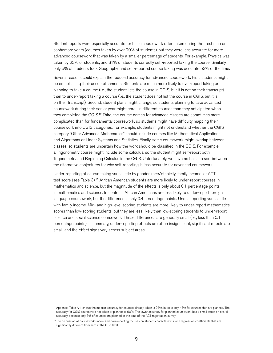Student reports were especially accurate for basic coursework often taken during the freshman or sophomore years (courses taken by over 90% of students), but they were less accurate for more advanced coursework that was taken by a smaller percentage of students. For example, Physics was taken by 22% of students, and 81% of students correctly self-reported taking the course. Similarly, only 5% of students took Geography, and self-reported course taking was accurate 53% of the time.

Several reasons could explain the reduced accuracy for advanced coursework. First, students might be embellishing their accomplishments. Students are much more likely to over-report taking or planning to take a course (i.e., the student lists the course in CGIS, but it is not on their transcript) than to under-report taking a course (i.e., the student does not list the course in CGIS, but it is on their transcript). Second, student plans might change, so students planning to take advanced coursework during their senior year might enroll in different courses than they anticipated when they completed the CGIS.<sup>17</sup> Third, the course names for advanced classes are sometimes more complicated than for fundamental coursework, so students might have difficulty mapping their coursework into CGIS categories. For example, students might not understand whether the CGIS category "Other Advanced Mathematics" should include courses like Mathematical Applications and Algorithms or Linear Systems and Statistics. Finally, some coursework might overlap between classes, so students are uncertain how the work should be classified in the CGIS. For example, a Trigonometry course might include some calculus, so the student might self-report both Trigonometry and Beginning Calculus in the CGIS. Unfortunately, we have no basis to sort between the alternative conjectures for why self-reporting is less accurate for advanced coursework.

Under-reporting of course taking varies little by gender, race/ethnicity, family income, or ACT test score (see Table 3).<sup>18</sup> African American students are more likely to under-report courses in mathematics and science, but the magnitude of the effects is only about 0.1 percentage points in mathematics and science. In contrast, African Americans are less likely to under-report foreign language coursework, but the difference is only 0.4 percentage points. Under-reporting varies little with family income. Mid- and high-level scoring students are more likely to under-report mathematics scores than low-scoring students, but they are less likely than low-scoring students to under-report science and social science coursework. These differences are generally small (i.e., less than 0.1 percentage points). In summary, under-reporting effects are often insignificant, significant effects are small, and the effect signs vary across subject areas.

<sup>17</sup> Appendix Table A-1 shows the median accuracy for courses already taken is 95%, but it is only 43% for courses that are planned. The accuracy for CGIS coursework not taken or planned is 90%. The lower accuracy for planned coursework has a small effect on overall accuracy, because only 3% of courses are planned at the time of the ACT registration survey.

<sup>&</sup>lt;sup>18</sup> The discussion of coursework under- and over-reporting focuses on student characteristics with regression coefficients that are significantly different from zero at the 0.05 level.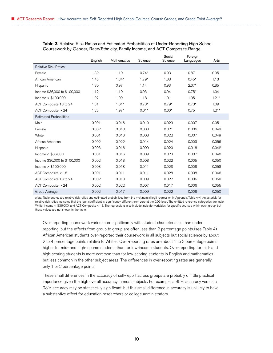|                                | English | <b>Mathematics</b> | Science | Social<br>Science | Foreign<br>Languages | Arts    |
|--------------------------------|---------|--------------------|---------|-------------------|----------------------|---------|
| <b>Relative Risk Ratios</b>    |         |                    |         |                   |                      |         |
| Female                         | 1.39    | 1.10               | $0.74*$ | 0.93              | 0.87                 | 0.95    |
| African American               | 1.45    | $1.34*$            | $1.79*$ | 1.08              | $0.45*$              | 1.13    |
| Hispanic                       | 1.80    | 0.97               | 1.14    | 0.93              | $2.67*$              | 0.85    |
| Income \$36,000 to \$100,000   | 1.12    | 1.10               | 0.93    | 0.94              | $0.75*$              | 1.04    |
| lncome > \$100,000             | 1.97    | 1.09               | 1.18    | 1.01              | 1.05                 | $1.21*$ |
| ACT Composite 18 to 24         | 1.31    | $1.61*$            | $0.78*$ | $0.79*$           | $0.73*$              | 1.09    |
| ACT Composite > 24             | 1.25    | $1.97*$            | $0.61*$ | $0.60*$           | 0.75                 | $1.21*$ |
| <b>Estimated Probabilities</b> |         |                    |         |                   |                      |         |
| Male                           | 0.001   | 0.016              | 0.010   | 0.023             | 0.007                | 0.051   |
| Female                         | 0.002   | 0.018              | 0.008   | 0.021             | 0.006                | 0.049   |
| White                          | 0.001   | 0.016              | 0.008   | 0.022             | 0.007                | 0.049   |
| African American               | 0.002   | 0.022              | 0.014   | 0.024             | 0.003                | 0.056   |
| Hispanic                       | 0.003   | 0.016              | 0.009   | 0.020             | 0.018                | 0.042   |
| Income $<$ \$36,000            | 0.001   | 0.016              | 0.009   | 0.023             | 0.007                | 0.048   |
| Income \$36,000 to \$100,000   | 0.002   | 0.018              | 0.008   | 0.022             | 0.005                | 0.050   |
| lncome > \$100,000             | 0.003   | 0.018              | 0.011   | 0.023             | 0.008                | 0.058   |
| ACT Composite < 18             | 0.001   | 0.011              | 0.011   | 0.028             | 0.008                | 0.046   |
| ACT Composite 18 to 24         | 0.002   | 0.018              | 0.009   | 0.022             | 0.006                | 0.050   |
| ACT Composite > 24             | 0.002   | 0.022              | 0.007   | 0.017             | 0.006                | 0.055   |
| Group Average                  | 0.002   | 0.017              | 0.009   | 0.022             | 0.006                | 0.050   |

Table 3. Relative Risk Ratios and Estimated Probabilities of Under-Reporting High School Coursework by Gender, Race/Ethnicity, Family Income, and ACT Composite Range

*Note:* Table entries are relative risk ratios and estimated probabilities from the multinomial logit regression in Appendix Table A-4. An asterisk for relative risk ratios indicates that the logit coefficient is significantly different from zero at the 0.05 level. The omitted reference categories are male, White, income < \$36,000, and ACT Composite < 18. The regressions also include indicator variables for specific courses within each group, but these values are not shown in the table.

Over-reporting coursework varies more significantly with student characteristics than underreporting, but the effects from group to group are often less than 2 percentage points (see Table 4). African American students over-reported their coursework in all subjects but social science by about 2 to 4 percentage points relative to Whites. Over-reporting rates are about 1 to 2 percentage points higher for mid- and high-income students than for low-income students. Over-reporting for mid- and high-scoring students is more common than for low-scoring students in English and mathematics but less common in the other subject areas. The differences in over-reporting rates are generally only 1 or 2 percentage points.

These small differences in the accuracy of self-report across groups are probably of little practical importance given the high overall accuracy in most subjects. For example, a 95% accuracy versus a 93% accuracy may be statistically significant, but this small difference in accuracy is unlikely to have a substantive effect for education researchers or college administrators.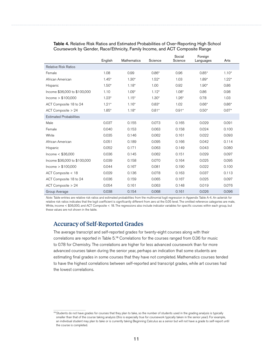|                                | English | <b>Mathematics</b> | Science | Social<br>Science | Foreign<br>Languages | Arts    |
|--------------------------------|---------|--------------------|---------|-------------------|----------------------|---------|
| <b>Relative Risk Ratios</b>    |         |                    |         |                   |                      |         |
| Female                         | 1.08    | 0.99               | $0.86*$ | 0.96              | $0.85*$              | $1.10*$ |
| African American               | $1.45*$ | $1.30*$            | $1.52*$ | 1.03              | $1.89*$              | $1.22*$ |
| Hispanic                       | $1.50*$ | $1.18*$            | 1.00    | 0.92              | $1.90*$              | 0.86    |
| Income \$36,000 to \$100,000   | 1.10    | $1.09*$            | $1.12*$ | $1.08*$           | 0.86                 | 0.98    |
| lncome > \$100,000             | $1.23*$ | $1.15*$            | $1.30*$ | $1.26*$           | 0.78                 | 1.03    |
| ACT Composite 18 to 24         | $1.21*$ | $1.16*$            | $0.83*$ | 1.02              | $0.66*$              | $0.86*$ |
| ACT Composite > 24             | $1.85*$ | $1.18*$            | $0.81*$ | $0.91*$           | $0.50*$              | $0.67*$ |
| <b>Estimated Probabilities</b> |         |                    |         |                   |                      |         |
| Male                           | 0.037   | 0.155              | 0.073   | 0.165             | 0.029                | 0.091   |
| Female                         | 0.040   | 0.153              | 0.063   | 0.158             | 0.024                | 0.100   |
| White                          | 0.035   | 0.146              | 0.062   | 0.161             | 0.022                | 0.093   |
| African American               | 0.051   | 0.189              | 0.095   | 0.166             | 0.042                | 0.114   |
| Hispanic                       | 0.052   | 0.171              | 0.063   | 0.149             | 0.043                | 0.080   |
| Income $<$ \$36,000            | 0.036   | 0.145              | 0.062   | 0.151             | 0.029                | 0.097   |
| Income \$36,000 to \$100,000   | 0.039   | 0.158              | 0.070   | 0.164             | 0.025                | 0.095   |
| lncome > \$100,000             | 0.044   | 0.167              | 0.081   | 0.190             | 0.022                | 0.100   |
| ACT Composite < 18             | 0.029   | 0.136              | 0.078   | 0.163             | 0.037                | 0.113   |
| ACT Composite 18 to 24         | 0.036   | 0.159              | 0.065   | 0.167             | 0.025                | 0.097   |
| ACT Composite > 24             | 0.054   | 0.161              | 0.063   | 0.148             | 0.019                | 0.076   |
| Group Average                  | 0.038   | 0.154              | 0.068   | 0.161             | 0.026                | 0.096   |

<span id="page-14-0"></span>Table 4. Relative Risk Ratios and Estimated Probabilities of Over-Reporting High School Coursework by Gender, Race/Ethnicity, Family Income, and ACT Composite Range

*Note:* Table entries are relative risk ratios and estimated probabilities from the multinomial logit regression in Appendix Table A-4. An asterisk for relative risk ratios indicates that the logit coefficient is significantly different from zero at the 0.05 level. The omitted reference categories are male, White, income < \$36,000, and ACT Composite < 18. The regressions also include indicator variables for specific courses within each group, but these values are not shown in the table.

### Accuracy of Self-Reported Grades

The average transcript and self-reported grades for twenty-eight courses along with their correlations are reported in Table 5.<sup>19</sup> Correlations for the courses ranged from 0.36 for music to 0.78 for Chemistry. The correlations are higher for less advanced coursework than for more advanced courses taken during the senior year, perhaps an indication that some students are estimating final grades in some courses that they have not completed. Mathematics courses tended to have the highest correlations between self-reported and transcript grades, while art courses had the lowest correlations.

<sup>&</sup>lt;sup>19</sup> Students do not have grades for courses that they plan to take, so the number of students used in the grading analysis is typically smaller than that of the course taking analysis (this is especially true for coursework typically taken in the senior year). For example, an individual student may plan to take or is currently taking Beginning Calculus as a senior but will not have a grade to self-report until the course is completed.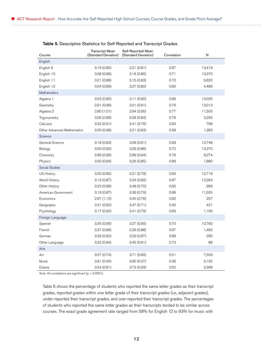| Course                            | Transcript Mean<br>(Standard Deviation) | Self-Reported Mean<br>(Standard Deviation) | Correlation | N      |
|-----------------------------------|-----------------------------------------|--------------------------------------------|-------------|--------|
| English                           |                                         |                                            |             |        |
| English 9                         | 3.16(0.85)                              | 3.21(0.81)                                 | 0.67        | 13,419 |
| English 10                        | 3.08(0.86)                              | 3.16(0.80)                                 | 0.71        | 13,370 |
| English 11                        | 3.01(0.88)                              | 3.15(0.83)                                 | 0.70        | 9,620  |
| English 12                        | 3.04(0.89)                              | 3.27(0.80)                                 | 0.60        | 4,489  |
| <b>Mathematics</b>                |                                         |                                            |             |        |
| Algebra 1                         | 3.03(0.90)                              | 3.11(0.90)                                 | 0.69        | 13,025 |
| Geometry                          | 2.91(0.96)                              | 3.01(0.91)                                 | 0.76        | 13,013 |
| Algebra 2                         | 2.80(1.01)                              | 2.94(0.95)                                 | 0.77        | 11,505 |
| Trigonometry                      | 3.06(0.99)                              | 3.28(0.84)                                 | 0.76        | 3,255  |
| Calculus                          | 3.32(0.91)                              | 3.41 (0.76)                                | 0.63        | 768    |
| <b>Other Advanced Mathematics</b> | 3.05(0.96)                              | 3.21 (0.83)                                | 0.58        | 1,283  |
| Science                           |                                         |                                            |             |        |
| General Science                   | 3.18(0.83)                              | 3.28(0.81)                                 | 0.58        | 12,748 |
| Biology                           | 3.00(0.90)                              | 3.09(0.86)                                 | 0.72        | 13,370 |
| Chemistry                         | 2.89(0.99)                              | 2.99(0.94)                                 | 0.78        | 9,274  |
| Physics                           | 3.20(0.94)                              | 3.26(0.85)                                 | 0.66        | 1,880  |
| Social Studies                    |                                         |                                            |             |        |
| US History                        | 3.20(0.85)                              | 3.31 (0.79)                                | 0.63        | 12,718 |
| World History                     | 3.13(0.87)                              | 3.24(0.82)                                 | 0.67        | 12,284 |
| Other History                     | 3.23(0.88)                              | 3.48(0.70)                                 | 0.60        | 966    |
| American Government               | 3.19(0.87)                              | 3.36(0.79)                                 | 0.66        | 11,555 |
| Economics                         | 2.97(1.10)                              | 3.45(0.76)                                 | 0.60        | 257    |
| Geography                         | 3.31(0.92)                              | 3.47(0.71)                                 | 0.40        | 421    |
| Psychology                        | 3.17(0.92)                              | 3.41(0.79)                                 | 0.63        | 1,190  |
| Foreign Language                  |                                         |                                            |             |        |
| Spanish                           | 3.35(0.90)                              | 3.27 (0.90)                                | 0.70        | 10,783 |
| French                            | 3.37(0.88)                              | 3.29(0.88)                                 | 0.67        | 1,462  |
| German                            | 3.39(0.82)                              | 3.29(0.87)                                 | 0.69        | 290    |
| Other Language                    | 3.32(0.84)                              | 3.45(0.81)                                 | 0.73        | 88     |
| Arts                              |                                         |                                            |             |        |
| Art                               | 3.57(0.74)                              | 3.71(0.60)                                 | 0.51        | 7,559  |
| Music                             | 3.91(0.40)                              | 3.90(0.37)                                 | 0.36        | 5,192  |
| Drama                             | 3.54(0.81)                              | 3.73(0.59)                                 | 0.52        | 2,366  |

#### Table 5. Descriptive Statistics for Self-Reported and Transcript Grades

*Note:* All correlations are significant (p < 0.0001).

Table 6 shows the percentage of students who reported the same letter grades as their transcript grades, reported grades within one letter grade of their transcript grades (i.e., adjacent grades), under-reported their transcript grades, and over-reported their transcript grades. The percentages of students who reported the same letter grades as their transcripts tended to be similar across courses. The exact grade agreement rate ranged from 58% for English 12 to 93% for music with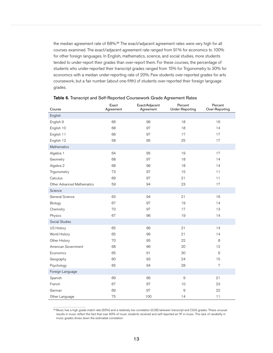the median agreement rate of 68%.<sup>20</sup> The exact/adjacent agreement rates were very high for all courses examined. The exact/adjacent agreement rate ranged from 91% for economics to 100% for other foreign languages. In English, mathematics, science, and social studies, more students tended to under-report their grades than over-report them. For these courses, the percentage of students who under-reported their transcript grades ranged from 15% for Trigonometry to 30% for economics with a median under-reporting rate of 20%. Few students over-reported grades for arts coursework, but a fair number (about one-fifth) of students over-reported their foreign language grades.

| Course                            | Exact<br>Agreement | Exact/Adjacent<br>Agreement | Percent<br><b>Under-Reporting</b> | Percent<br>Over-Reporting |
|-----------------------------------|--------------------|-----------------------------|-----------------------------------|---------------------------|
| English                           |                    |                             |                                   |                           |
| English 9                         | 66                 | 96                          | 18                                | 16                        |
| English 10                        | 68                 | 97                          | 18                                | 14                        |
| English 11                        | 66                 | 97                          | 17                                | 17                        |
| English 12                        | 58                 | 95                          | 25                                | 17                        |
| Mathematics                       |                    |                             |                                   |                           |
| Algebra 1                         | 64                 | 95                          | 19                                | 17                        |
| Geometry                          | 68                 | 97                          | 18                                | 14                        |
| Algebra 2                         | 68                 | 96                          | 18                                | 14                        |
| Trigonometry                      | 73                 | 97                          | 15                                | 11                        |
| Calculus                          | 69                 | 97                          | 21                                | 11                        |
| <b>Other Advanced Mathematics</b> | 59                 | 94                          | 23                                | 17                        |
| Science                           |                    |                             |                                   |                           |
| General Science                   | 63                 | 94                          | 21                                | 16                        |
| Biology                           | 67                 | 97                          | 19                                | 14                        |
| Chemistry                         | 70                 | 97                          | 17                                | 13                        |
| Physics                           | 67                 | 96                          | 19                                | 14                        |
| Social Studies                    |                    |                             |                                   |                           |
| US History                        | 65                 | 96                          | 21                                | 14                        |
| World History                     | 65                 | 96                          | 21                                | 14                        |
| Other History                     | 70                 | 95                          | 22                                | 8                         |
| American Government               | 68                 | 96                          | 20                                | 12                        |
| Economics                         | 65                 | 91                          | 30                                | 6                         |
| Geography                         | 60                 | 93                          | 24                                | 15                        |
| Psychology                        | 65                 | 94                          | 28                                | $\overline{7}$            |
| Foreign Language                  |                    |                             |                                   |                           |
| Spanish                           | 69                 | 96                          | $\hbox{9}$                        | 21                        |
| French                            | 67                 | 97                          | 10                                | 23                        |
| German                            | 69                 | 97                          | $\mathcal{Q}$                     | 22                        |
| Other Language                    | 75                 | 100                         | 14                                | 11                        |

#### Table 6. Transcript and Self-Reported Coursework Grade Agreement Rates

<sup>20</sup> Music has a high grade match rate (93%) and a relatively low correlation (0.36) between transcript and CGIS grades. These unusual results in music reflect the fact that over 90% of music students received and self-reported an "A" in music. This lack of variability in music grades drives down the estimated correlation.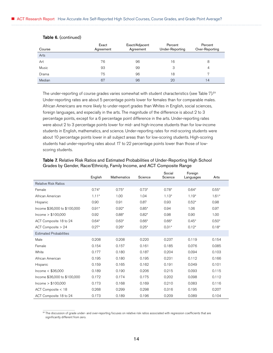| Course | Exact<br>Agreement | Exact/Adjacent<br>Agreement | Percent<br>Under-Reporting | Percent<br>Over-Reporting |
|--------|--------------------|-----------------------------|----------------------------|---------------------------|
| Arts   |                    |                             |                            |                           |
| Art    | 76                 | 96                          | 16                         |                           |
| Music  | 93                 | 99                          | 3                          | 4                         |
| Drama  | 75                 | 96                          | 18                         | 7                         |
| Median | 67                 | 96                          | 20                         | 14                        |

#### Table 6. (continued)

The under-reporting of course grades varies somewhat with student characteristics (see Table 7).<sup>21</sup> Under-reporting rates are about 5 percentage points lower for females than for comparable males. African Americans are more likely to under-report grades than Whites in English, social sciences, foreign languages, and especially in the arts. The magnitude of the difference is about 2 to 3 percentage points, except for a 6 percentage point difference in the arts. Under-reporting rates were about 2 to 3 percentage points lower for mid- and high-income students than for low-income students in English, mathematics, and science. Under-reporting rates for mid-scoring students were about 10 percentage points lower in all subject areas than for low-scoring students. High-scoring students had under-reporting rates about 17 to 22 percentage points lower than those of lowscoring students.

|                                | English | Mathematics | Science | Social<br>Science | Foreign<br>Languages | Arts    |
|--------------------------------|---------|-------------|---------|-------------------|----------------------|---------|
| <b>Relative Risk Ratios</b>    |         |             |         |                   |                      |         |
| Female                         | $0.74*$ | $0.75*$     | $0.73*$ | $0.78*$           | $0.64*$              | $0.55*$ |
| African American               | $1.11*$ | 1.00        | 1.04    | $1.13*$           | $1.19*$              | $1.61*$ |
| Hispanic                       | 0.90    | 0.91        | 0.87    | 0.93              | $0.52*$              | 0.98    |
| Income \$36,000 to \$100,000   | $0.91*$ | $0.92*$     | $0.85*$ | 0.94              | 1.06                 | 0.97    |
| lncome > \$100,000             | 0.92    | $0.88*$     | $0.82*$ | 0.98              | 0.90                 | 1.00    |
| ACT Composite 18 to 24         | $0.64*$ | $0.63*$     | $0.66*$ | $0.66*$           | $0.45*$              | $0.50*$ |
| ACT Composite > 24             | $0.27*$ | $0.26*$     | $0.25*$ | $0.31*$           | $0.12*$              | $0.18*$ |
| <b>Estimated Probabilities</b> |         |             |         |                   |                      |         |
| Male                           | 0.208   | 0.208       | 0.220   | 0.237             | 0.119                | 0.154   |
| Female                         | 0.154   | 0.157       | 0.161   | 0.185             | 0.076                | 0.085   |
| White                          | 0.177   | 0.180       | 0.187   | 0.204             | 0.094                | 0.103   |
| African American               | 0.195   | 0.180       | 0.195   | 0.231             | 0.112                | 0.166   |
| Hispanic                       | 0.159   | 0.165       | 0.162   | 0.191             | 0.049                | 0.101   |
| Income $<$ \$36,000            | 0.189   | 0.190       | 0.206   | 0.215             | 0.093                | 0.115   |
| Income \$36,000 to \$100,000   | 0.172   | 0.174       | 0.175   | 0.202             | 0.098                | 0.112   |
| lncome > \$100,000             | 0.173   | 0.168       | 0.169   | 0.210             | 0.083                | 0.116   |
| ACT Composite < 18             | 0.268   | 0.299       | 0.298   | 0.316             | 0.195                | 0.207   |
| ACT Composite 18 to 24         | 0.173   | 0.189       | 0.196   | 0.209             | 0.089                | 0.104   |

#### Table 7. Relative Risk Ratios and Estimated Probabilities of Under-Reporting High School Grades by Gender, Race/Ethnicity, Family Income, and ACT Composite Range

<sup>21</sup> The discussion of grade under- and over-reporting focuses on relative risk ratios associated with regression coefficients that are significantly different from zero.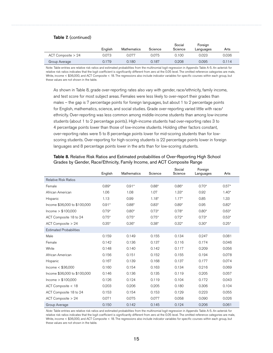#### Table 7. (continued)

|                        | Enalish | <b>Mathematics</b> | Science | Social<br>Science | Foreign<br>Languages | Arts  |
|------------------------|---------|--------------------|---------|-------------------|----------------------|-------|
| $ACT$ Composite $> 24$ | 0.073   | 0.077              | 0.075   | 0.100             | 0.023                | 0.036 |
| Group Average          | 0.179   | 0.180              | 0.187   | 0.208             | 0.095                | 0.114 |

Note: Table entries are relative risk ratios and estimated probabilities from the multinomial logit regression in Appendix Table A-5. An asterisk for relative risk ratios indicates that the logit coefficient is significantly different from zero at the 0.05 level. The omitted reference categories are male, White, income < \$36,000, and ACT Composite < 18. The regressions also include indicator variables for specific courses within each group, but these values are not shown in the table.

As shown in Table 8, grade over-reporting rates also vary with gender, race/ethnicity, family income, and test score for most subject areas. Females were less likely to over-report their grades than males – the gap is 7 percentage points for foreign languages, but about 1 to 2 percentage points for English, mathematics, science, and social studies. Grade over-reporting varied little with race/ ethnicity. Over-reporting was less common among middle-income students than among low-income students (about 1 to 2 percentage points). High-income students had over-reporting rates 3 to 4 percentage points lower than those of low-income students. Holding other factors constant, over-reporting rates were 5 to 8 percentage points lower for mid-scoring students than for lowscoring students. Over-reporting for high-scoring students is 22 percentage points lower in foreign languages and 8 percentage points lower in the arts than for low-scoring students.

|                                | English | Mathematics | Science | Social<br>Science | Foreign<br>Languages | Arts    |
|--------------------------------|---------|-------------|---------|-------------------|----------------------|---------|
| <b>Relative Risk Ratios</b>    |         |             |         |                   |                      |         |
| Female                         | $0.89*$ | $0.91*$     | $0.88*$ | $0.86*$           | $0.70*$              | $0.57*$ |
| African American               | 1.06    | 1.08        | 1.07    | $1.33*$           | 0.92                 | $1.40*$ |
| Hispanic                       | 1.13    | 0.99        | $1.18*$ | $1.17*$           | 0.85                 | 1.33    |
| Income \$36,000 to \$100,000   | $0.91*$ | $0.88*$     | $0.83*$ | $0.89*$           | 0.95                 | $0.82*$ |
| lncome > \$100,000             | $0.79*$ | $0.80*$     | $0.73*$ | $0.78*$           | $0.80*$              | $0.63*$ |
| ACT Composite 18 to 24         | $0.75*$ | $0.75*$     | $0.75*$ | $0.72*$           | $0.73*$              | $0.53*$ |
| ACT Composite > 24             | $0.35*$ | $0.36*$     | $0.38*$ | $0.32*$           | $0.30*$              | $0.25*$ |
| <b>Estimated Probabilities</b> |         |             |         |                   |                      |         |
| Male                           | 0.159   | 0.149       | 0.155   | 0.134             | 0.247                | 0.081   |
| Female                         | 0.142   | 0.136       | 0.137   | 0.116             | 0.174                | 0.046   |
| White                          | 0.148   | 0.140       | 0.142   | 0.117             | 0.209                | 0.056   |
| African American               | 0.156   | 0.151       | 0.152   | 0.155             | 0.194                | 0.078   |
| Hispanic                       | 0.167   | 0.139       | 0.168   | 0.137             | 0.177                | 0.074   |
| Income $<$ \$36,000            | 0.160   | 0.154       | 0.163   | 0.134             | 0.216                | 0.069   |
| Income \$36,000 to \$100,000   | 0.146   | 0.136       | 0.135   | 0.119             | 0.205                | 0.057   |
| lncome > \$100,000             | 0.126   | 0.124       | 0.119   | 0.104             | 0.172                | 0.043   |
| ACT Composite < 18             | 0.203   | 0.206       | 0.205   | 0.180             | 0.306                | 0.104   |
| ACT Composite 18 to 24         | 0.153   | 0.154       | 0.153   | 0.129             | 0.223                | 0.055   |
| ACT Composite > 24             | 0.071   | 0.075       | 0.077   | 0.058             | 0.090                | 0.026   |
| Group Average                  | 0.150   | 0.142       | 0.145   | 0.124             | 0.206                | 0.061   |

#### Table 8. Relative Risk Ratios and Estimated probabilities of Over-Reporting High School Grades by Gender, Race/Ethnicity, Family Income, and ACT Composite Range

*Note:* Table entries are relative risk ratios and estimated probabilities from the multinomial logit regression in Appendix Table A-5. An asterisk for relative risk ratios indicates that the logit coefficient is significantly different from zero at the 0.05 level. The omitted reference categories are male, White, income < \$36,000, and ACT Composite < 18. The regressions also include indicator variables for specific courses within each group, but these values are not shown in the table.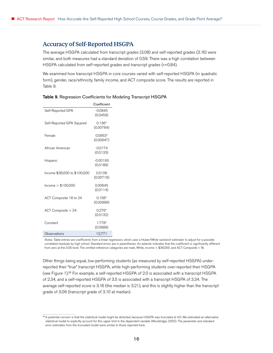### <span id="page-19-0"></span>Accuracy of Self-Reported HSGPA

The average HSGPA calculated from transcript grades (3.08) and self-reported grades (3.16) were similar, and both measures had a standard deviation of 0.59. There was a high correlation between HSGPA calculated from self-reported grades and transcript grades (r=0.84).

We examined how transcript HSGPA in core courses varied with self-reported HSGPA (in quadratic form), gender, race/ethnicity, family income, and ACT composite score. The results are reported in Table 9.

|                              | Coefficient            |
|------------------------------|------------------------|
| Self-Reported GPA            | $-0.0845$<br>(0.0459)  |
| Self-Reported GPA Squared    | $0.136*$<br>(0.00764)  |
| Female                       | $0.0953*$<br>(0.00647) |
| African American             | $-0.0174$<br>(0.0133)  |
| Hispanic                     | $-0.00193$<br>(0.0189) |
| Income \$36,000 to \$100,000 | 0.0106<br>(0.00716)    |
| lncome > \$100,000           | 0.00645<br>(0.0114)    |
| ACT Composite 18 to 24       | $0.158*$<br>(0.00999)  |
| ACT Composite > 24           | $0.276*$<br>(0.0132)   |
| Constant                     | 1.778*<br>(0.0689)     |
| Observations                 | 12,771                 |

*Notes:* Table entries are coefficients from a linear regression, which uses a Huber/White sandwich estimator to adjust for a possible correlated residuals by high school. Standard errors are in parentheses. An asterisk indicates that the coefficient is significantly different from zero at the 0.05 level. The omitted reference categories are male, White, income < \$36,000, and ACT Composite <18.

Other things being equal, low-performing students (as measured by self-reported HSGPA) underreported their "true" transcript HSGPA, while high-performing students over-reported their HSGPA (see Figure 1).<sup>22</sup> For example, a self-reported HSGPA of 2.0 is associated with a transcript HSGPA of 2.34, and a self-reported HSGPA of 3.5 is associated with a transcript HSGPA of 3.34. The average self-reported score is 3.16 (the median is 3.21), and this is slightly higher than the transcript grade of 3.06 (transcript grade of 3.10 at median).

<sup>&</sup>lt;sup>22</sup> A potential concern is that the statistical model might be distorted, because HSGPA was truncated at 4.0. We estimated an alternative statistical model to explicitly account for this upper limit in the dependent variable (Wooldridge, 2002). The parameter and standard error estimates from the truncated model were similar to those reported here.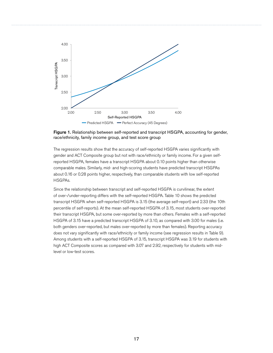

Figure 1. Relationship between self-reported and transcript HSGPA, accounting for gender, race/ethnicity, family income group, and test score group

The regression results show that the accuracy of self-reported HSGPA varies significantly with gender and ACT Composite group but not with race/ethnicity or family income. For a given selfreported HSGPA, females have a transcript HSGPA about 0.10 points higher than otherwise comparable males. Similarly, mid- and high-scoring students have predicted transcript HSGPAs about 0.16 or 0.28 points higher, respectively, than comparable students with low self-reported HSGPAs.

Since the relationship between transcript and self-reported HSGPA is curvilinear, the extent of over-/under-reporting differs with the self-reported HSGPA. Table 10 shows the predicted transcript HSGPA when self-reported HSGPA is 3.15 (the average self-report) and 2.33 (the 10th percentile of self-reports). At the mean self-reported HSGPA of 3.15, most students over-reported their transcript HSGPA, but some over-reported by more than others. Females with a self-reported HSGPA of 3.15 have a predicted transcript HSGPA of 3.10, as compared with 3.00 for males (i.e. both genders over-reported, but males over-reported by more than females). Reporting accuracy does not vary significantly with race/ethnicity or family income (see regression results in Table 9). Among students with a self-reported HSGPA of 3.15, transcript HSGPA was 3.19 for students with high ACT Composite scores as compared with 3.07 and 2.92, respectively for students with midlevel or low-test scores.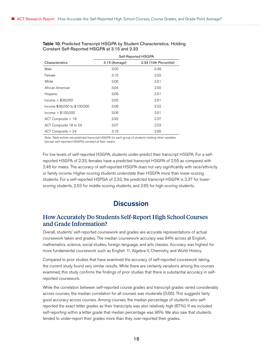|                              | Self-Reported HSGPA |                        |  |  |  |  |
|------------------------------|---------------------|------------------------|--|--|--|--|
| Characteristics              | 3.15 (Average)      | 2.33 (10th Percentile) |  |  |  |  |
| Male                         | 3.00                | 2.46                   |  |  |  |  |
| Female                       | 3.10                | 2.55                   |  |  |  |  |
| White                        | 3.06                | 2.51                   |  |  |  |  |
| African American             | 3.04                | 2.50                   |  |  |  |  |
| Hispanic                     | 3.06                | 2.51                   |  |  |  |  |
| Income $<$ \$36,000          | 3.05                | 2.51                   |  |  |  |  |
| Income \$36,000 to \$100,000 | 3.06                | 2.52                   |  |  |  |  |
| lncome > \$100,000           | 3.06                | 2.51                   |  |  |  |  |
| ACT Composite < 18           | 2.92                | 2.37                   |  |  |  |  |
| ACT Composite 18 to 24       | 3.07                | 2.53                   |  |  |  |  |
| ACT Composite > 24           | 3.19                | 2.65                   |  |  |  |  |

<span id="page-21-0"></span>Table 10. Predicted Transcript HSGPA by Student Characteristics, Holding Constant Self-Reported HSGPA at 3.15 and 2.33

Self-Reported HSGPA

*Note:* Table entries are predicted transcript HSGPA for each group of students holding other variables (except self-reported HSGPA) constant at their means.

For low levels of self-reported HSGPA, students under-predict their transcript HSGPA. For a selfreported HSGPA of 2.33, females have a predicted transcript HSGPA of 2.55 as compared with 2.46 for males. The accuracy of self-reported HSGPA does not vary significantly with race/ethnicity or family income. Higher-scoring students understate their HSGPA more than lower-scoring students: For a self-reported HSPGA of 2.33, the predicted transcript HSGPA is 2.37 for lowerscoring students, 2.53 for middle-scoring students, and 2.65 for high-scoring students.

# **Discussion**

## How Accurately Do Students Self-Report High School Courses and Grade Information?

Overall, students' self-reported coursework and grades are accurate representations of actual coursework taken and grades. The median coursework accuracy was 94% across all English, mathematics, science, social studies, foreign language, and arts classes. Accuracy was highest for more fundamental coursework such as English 11, Algebra II, Chemistry, and World History.

Compared to prior studies that have examined the accuracy of self-reported coursework taking, the current study found very similar results. While there are certainly variations among the courses examined, this study confirms the findings of prior studies that there is substantial accuracy in selfreported coursework.

While the correlation between self-reported course grades and transcript grades varied considerably across courses, the median correlation for all courses was moderate (0.66). This suggests fairly good accuracy across courses. Among courses, the median percentage of students who selfreported the exact letter grades as their transcripts was also relatively high (67%). If we included self-reporting within a letter grade that median percentage was 96%. We also saw that students tended to under-report their grades more than they over-reported their grades.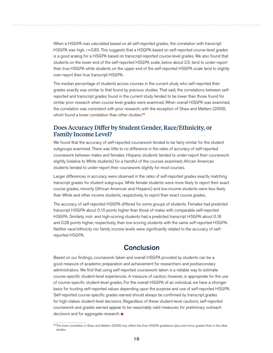<span id="page-22-0"></span>When a HSGPA was calculated based on all self-reported grades, the correlation with transcript HSGPA was high, *r*=0.83. This suggests that a HSGPA based on self-reported course-level grades is a good analog for a HSGPA based on transcript-reported course-level grades. We also found that students on the lower end of the self-reported HSGPA scale, below about 2.5, tend to under-report their true HSGPA while students on the upper end of the self-reported HSGPA scale tend to slightly over-report their true transcript HSGPA.

The median percentage of students across courses in the current study who self-reported their grades exactly was similar to that found by previous studies. That said, the correlations between selfreported and transcript grades found in the current study tended to be lower than those found for similar prior research when course level grades were examined. When overall HSGPA was examined, the correlation was consistent with prior research, with the exception of Shaw and Mattern (2009), which found a lower correlation than other studies.<sup>23</sup>

## Does Accuracy Differ by Student Gender, Race/Ethnicity, or Family Income Level?

We found that the accuracy of self-reported coursework tended to be fairly similar for the student subgroups examined. There was little to no difference in the rates of accuracy of self-reported coursework between males and females. Hispanic students tended to under-report their coursework slightly (relative to White students) for a handful of the courses examined; African American students tended to under-report their coursework slightly for most courses.

Larger differences in accuracy were observed in the rates of self-reported grades exactly matching transcript grades for student subgroups. While female students were more likely to report their exact course grades, minority (African American and Hispanic) and low-income students were less likely than White and other income students, respectively, to report their exact course grades.

The accuracy of self-reported HSGPA differed for some groups of students. Females had predicted transcript HSGPA about 0.10 points higher than those of males with comparable self-reported HSGPA. Similarly, mid- and high-scoring students had a predicted transcript HSGPA about 0.16 and 0.28 points higher, respectively, than low-scoring students with the same self-reported HSGPA. Neither race/ethnicity nor family income levels were significantly related to the accuracy of selfreported HSGPA.

# **Conclusion**

Based on our findings, coursework taken and overall HSGPA provided by students can be a good measure of academic preparation and achievement for researchers and postsecondary administrators. We find that using self-reported coursework taken is a reliable way to estimate course-specific student-level experiences. A measure of caution, however, is appropriate for the use of course-specific student-level grades. For the overall HSGPA of an individual, we have a stronger basis for trusting self-reported values depending upon the purpose and use of self-reported HSGPA. Self-reported course-specific grades earned should always be confirmed by transcript grades for high-stakes student-level decisions. Regardless of these student-level cautions, self-reported coursework and grades earned appear to be reasonably valid measures for preliminary outreach decisions and for aggregate research.

<sup>&</sup>lt;sup>23</sup> The lower correlation in Shaw and Mattern (2009) may reflect the finer HSGPA gradations (plus and minus grades) than in the other studies.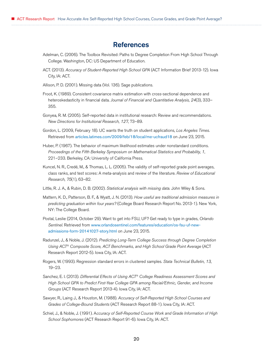# References

- <span id="page-23-0"></span>Adelman, C. (2006). The Toolbox Revisited: Paths to Degree Completion From High School Through College. Washington, DC: US Department of Education.
- ACT. (2013). *Accuracy of Student-Reported High School GPA* (ACT Information Brief 2013-12). Iowa City, IA: ACT.
- Allison, P. D. (2001). Missing data (Vol. 136). Sage publications.
- Froot, K. (1989). Consistent covariance matrix estimation with cross-sectional dependence and heteroskedasticity in financial data. *Journal of Financial and Quantitative Analysis, 24*(3), 333– 355.
- Gonyea, R. M. (2005). Self-reported data in institutional research: Review and recommendations. *New Directions for Institutional Research, 127*, 73–89.
- Gordon, L. (2009, February 18). UC wants the truth on student applications, *Los Angeles Times*. Retrieved from <articles.latimes.com/2009/feb/18/local/me-ucfraud18> on June 23, 2015.
- Huber, P. (1967). The behavior of maximum likelihood estimates under nonstandard conditions. *Proceedings of the Fifth Berkeley Symposium on Mathematical Statistics and Probability, 1*, 221–233. Berkeley, CA: University of California Press.
- Kuncel, N. R., Credé, M., & Thomas, L. L. (2005). The validity of self-reported grade point averages, class ranks, and test scores: A meta-analysis and review of the literature. *Review of Educational Research, 75*(1), 63–82.
- Little, R. J. A., & Rubin, D. B. (2002). *Statistical analysis with missing data.* John Wiley & Sons.
- Mattern, K. D., Patterson, B. F., & Wyatt, J. N. (2013). *How useful are traditional admission measures in predicting graduation within four years?* (College Board Research Report No. 2013-1). New York, NY: The College Board.
- Postal, Leslie (2014, October 29). Want to get into FSU, UF? Get ready to type in grades, *Orlando Sentinel*. Retrieved from [www.orlandosentinel.com/features/education/os-fsu-uf-new](www.orlandosentinel.com/features/education/os-fsu-uf-new-admissions-form-20141027-story.html)[admissions-form-20141027-story.html](www.orlandosentinel.com/features/education/os-fsu-uf-new-admissions-form-20141027-story.html) on June 23, 2015.
- Radunzel, J., & Noble, J. (2012). *Predicting Long-Term College Success through Degree Completion Using ACT® Composite Score, ACT Benchmarks, and High School Grade Point Average* (ACT Research Report 2012-5). Iowa City, IA: ACT.
- Rogers, W. (1993). Regression standard errors in clustered samples. *Stata Technical Bulletin, 13*, 19–23.
- Sanchez, E. I. (2013). *Differential Effects of Using ACT® College Readiness Assessment Scores and High School GPA to Predict First-Year College GPA among Racial/Ethnic, Gender, and Income Groups* (ACT Research Report 2013-4). Iowa City, IA: ACT.
- Sawyer, R., Laing J., & Houston, M. (1988). *Accuracy of Self-Reported High School Courses and Grades of College-Bound Students* (ACT Research Report 88-1). Iowa City, IA: ACT.
- Schiel, J., & Noble, J. (1991). A*ccuracy of Self-Reported Course Work and Grade Information of High School Sophomores* (ACT Research Report 91-6). Iowa City, IA: ACT.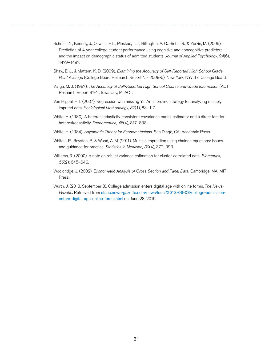- Schmitt, N., Keeney, J., Oswald, F. L., Pleskac, T. J., Billington, A. Q., Sinha, R., & Zorzie, M. (2009). Prediction of 4-year college student performance using cognitive and noncognitive predictors and the impact on demographic status of admitted students. *Journal of Applied Psychology, 94*(6), 1479–1497.
- Shaw, E. J., & Mattern, K. D. (2009). *Examining the Accuracy of Self-Reported High School Grade Point Average* (College Board Research Report No. 2009-5). New York, NY: The College Board.
- Valiga, M. J. (1987). *The Accuracy of Self-Reported High School Course and Grade Information* (ACT Research Report 87-1). Iowa City, IA: ACT.
- Von Hippel, P. T. (2007). Regression with missing Ys: An improved strategy for analyzing multiply imputed data. *Sociological Methodology, 37*(1), 83–117.
- White, H. (1980). A heteroskedasticity-consistent covariance matrix estimator and a direct test for heteroskedasticity. *Econometrica, 48*(4), 817–838.
- White, H. (1984). *Asymptotic Theory for Econometricians.* San Diego, CA: Academic Press.
- White, I. R., Royston, P., & Wood, A. M. (2011). Multiple imputation using chained equations: Issues and guidance for practice. *Statistics in Medicine, 30*(4), 377–399.
- Williams, R. (2000). A note on robust variance estimation for cluster-correlated data. *Biometrics, 56*(2): 645–646.
- Wooldridge, J. (2002). *Econometric Analysis of Cross Section and Panel Data.* Cambridge, MA: MIT Press.
- Wurth, J. (2013, September 8). College admission enters digital age with online forms, *The News-Gazette*. Retrieved from [static.news-gazette.com/news/local/2013-09-08/college-admission](http://static.news-gazette.com/news/local/2013-09-08/college-admission-enters-digital-age-online-forms.html)[enters-digital-age-online-forms.html](http://static.news-gazette.com/news/local/2013-09-08/college-admission-enters-digital-age-online-forms.html) on June 23, 2015.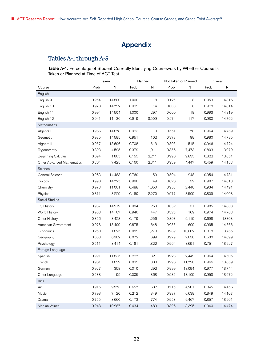# Appendix

# <span id="page-25-0"></span>Tables A-1 through A-5

#### Table A-1. Percentage of Student Correctly Identifying Coursework by Whether Course Is Taken or Planned at Time of ACT Test

|                                   | Taken |        | Planned |       | Not Taken or Planned |        | Overall |        |
|-----------------------------------|-------|--------|---------|-------|----------------------|--------|---------|--------|
| Course                            | Prob  | N      | Prob    | N     | Prob                 | N      | Prob    | N      |
| English                           |       |        |         |       |                      |        |         |        |
| English 9                         | 0.954 | 14,800 | 1.000   | 8     | 0.125                | 8      | 0.953   | 14,816 |
| English 10                        | 0.978 | 14,792 | 0.929   | 14    | 0.000                | 8      | 0.978   | 14,814 |
| English 11                        | 0.994 | 14,504 | 1.000   | 297   | 0.000                | 18     | 0.993   | 14,819 |
| English 12                        | 0.941 | 11,136 | 0.919   | 3,509 | 0.274                | 117    | 0.930   | 14,762 |
| Mathematics                       |       |        |         |       |                      |        |         |        |
| Algebra I                         | 0.966 | 14,678 | 0.923   | 13    | 0.551                | 78     | 0.964   | 14,769 |
| Geometry                          | 0.985 | 14,585 | 0.951   | 102   | 0.378                | 98     | 0.980   | 14,785 |
| Algebra II                        | 0.957 | 13,696 | 0.708   | 513   | 0.893                | 515    | 0.946   | 14,724 |
| Trigonometry                      | 0.893 | 4,595  | 0.379   | 1,911 | 0.856                | 7,473  | 0.803   | 13,979 |
| <b>Beginning Calculus</b>         | 0.694 | 1,805  | 0.155   | 2,211 | 0.996                | 9,835  | 0.822   | 13,851 |
| <b>Other Advanced Mathematics</b> | 0.264 | 7,425  | 0.160   | 2,311 | 0.939                | 4,447  | 0.459   | 14,183 |
| Science                           |       |        |         |       |                      |        |         |        |
| General Science                   | 0.963 | 14,483 | 0.760   | 50    | 0.504                | 248    | 0.954   | 14,781 |
| Biology                           | 0.990 | 14,725 | 0.980   | 49    | 0.026                | 39     | 0.987   | 14,813 |
| Chemistry                         | 0.973 | 11,001 | 0.488   | 1,050 | 0.953                | 2,440  | 0.934   | 14,491 |
| Physics                           | 0.811 | 3,229  | 0.180   | 2,270 | 0.977                | 8,509  | 0.809   | 14,008 |
| Social Studies                    |       |        |         |       |                      |        |         |        |
| <b>US History</b>                 | 0.987 | 14,519 | 0.984   | 253   | 0.032                | 31     | 0.985   | 14,803 |
| World History                     | 0.983 | 14,167 | 0.940   | 447   | 0.325                | 169    | 0.974   | 14,783 |
| Other History                     | 0.356 | 3,428  | 0.179   | 1,256 | 0.898                | 9,119  | 0.698   | 13803  |
| American Government               | 0.978 | 13,409 | 0.875   | 648   | 0.033                | 609    | 0.935   | 14,666 |
| Economics                         | 0.250 | 1,625  | 0.089   | 1,278 | 0.989                | 10,862 | 0.818   | 13,765 |
| Geography                         | 0.083 | 6,362  | 0.072   | 699   | 0.979                | 7,038  | 0.530   | 14,099 |
| Psychology                        | 0.511 | 3,414  | 0.181   | 1,822 | 0.964                | 8,691  | 0.751   | 13,927 |
| Foreign Language                  |       |        |         |       |                      |        |         |        |
| Spanish                           | 0.991 | 11,835 | 0.227   | 321   | 0.928                | 2,449  | 0.964   | 14,605 |
| French                            | 0.961 | 1,699  | 0.039   | 380   | 0.996                | 11,790 | 0.966   | 13,869 |
| German                            | 0.927 | 358    | 0.010   | 292   | 0.999                | 13,094 | 0.977   | 13,744 |
| Other Language                    | 0.538 | 195    | 0.005   | 368   | 0.986                | 13,109 | 0.953   | 13,672 |
| Arts                              |       |        |         |       |                      |        |         |        |
| Art                               | 0.915 | 9,573  | 0.657   | 682   | 0.715                | 4,201  | 0.845   | 14,456 |
| Music                             | 0.798 | 7,120  | 0.212   | 349   | 0.937                | 6,638  | 0.849   | 14,107 |
| Drama                             | 0.755 | 3,660  | 0.173   | 774   | 0.953                | 9,467  | 0.857   | 13,901 |
| <b>Median Values</b>              | 0.948 | 10,287 | 0.434   | 480   | 0.896                | 3,325  | 0.940   | 14,474 |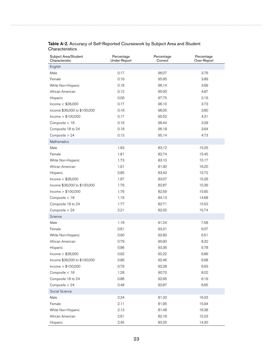| Subject Area/Student<br>Characteristic | Percentage<br>Under-Report | Percentage<br>Correct | Percentage<br>Over-Report |
|----------------------------------------|----------------------------|-----------------------|---------------------------|
| English                                |                            |                       |                           |
| Male                                   | 0.17                       | 96.07                 | 3.76                      |
| Female                                 | 0.16                       | 95.95                 | 3.89                      |
| White Non-Hispanic                     | 0.18                       | 96.14                 | 3.69                      |
| African American                       | 0.12                       | 95.00                 | 4.87                      |
| Hispanic                               | 0.09                       | 97.75                 | 2.16                      |
| Income $<$ \$36,000                    | 0.17                       | 96.10                 | 3.73                      |
| Income \$36,000 to \$100,000           | 0.16                       | 96.05                 | 3.80                      |
| Income $> $100,000$                    | 0.17                       | 95.52                 | 4.31                      |
| Composite < 18                         | 0.16                       | 96.44                 | 3.39                      |
| Composite 18 to 24                     | 0.18                       | 96.18                 | 3.64                      |
| Composite $> 24$                       | 0.13                       | 95.14                 | 4.73                      |
| Mathematics                            |                            |                       |                           |
| Male                                   | 1.63                       | 83.12                 | 15.25                     |
| Female                                 | 1.81                       | 82.74                 | 15.45                     |
| White Non-Hispanic                     | 1.73                       | 83.10                 | 15.17                     |
| African American                       | 1.91                       | 81.90                 | 16.20                     |
| Hispanic                               | 0.85                       | 83.43                 | 15.72                     |
| Income $<$ \$36,000                    | 1.67                       | 83.07                 | 15.26                     |
| Income \$36,000 to \$100,000           | 1.76                       | 82.87                 | 15.36                     |
| Income $> $100,000$                    | 1.76                       | 82.59                 | 15.65                     |
| Composite < 18                         | 1.19                       | 84.13                 | 14.68                     |
| Composite 18 to 24                     | 1.77                       | 82.71                 | 15.52                     |
| Composite > 24                         | 2.21                       | 82.05                 | 15.74                     |
| Science                                |                            |                       |                           |
| Male                                   | 1.18                       | 91.24                 | 7.58                      |
| Female                                 | 0.61                       | 93.31                 | 6.07                      |
| White Non-Hispanic                     | 0.90                       | 92.60                 | 6.51                      |
| African American                       | 0.79                       | 90.90                 | 8.32                      |
| Hispanic                               | 0.86                       | 93.36                 | 5.78                      |
| Income $<$ \$36,000                    | 0.92                       | 92.22                 | 6.86                      |
| Income \$36,000 to \$100,000           | 0.86                       | 92.46                 | 6.68                      |
| Income $> $100,000$                    | 0.79                       | 92.28                 | 6.93                      |
| Composite < 18                         | 1.28                       | 90.70                 | 8.02                      |
| Composite 18 to 24                     | 0.86                       | 92.95                 | 6.19                      |
| Composite > 24                         | 0.48                       | 92.87                 | 6.65                      |
| Social Science                         |                            |                       |                           |
| Male                                   | 2.34                       | 81.33                 | 16.33                     |
| Female                                 | 2.11                       | 81.95                 | 15.94                     |
| White Non-Hispanic                     | 2.13                       | 81.48                 | 16.38                     |
| African American                       | 2.61                       | 82.16                 | 15.23                     |
| Hispanic                               | 2.45                       | 83.25                 | 14.30                     |

#### Table A-2. Accuracy of Self-Reported Coursework by Subject Area and Student **Characteristics**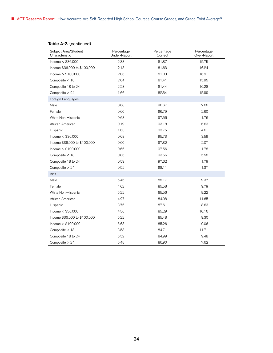## Table A-2. (continued)

| Subject Area/Student<br>Characteristic | Percentage<br>Under-Report | Percentage<br>Correct | Percentage<br>Over-Report |
|----------------------------------------|----------------------------|-----------------------|---------------------------|
| Income $<$ \$36,000                    | 2.38                       | 81.87                 | 15.75                     |
| Income \$36,000 to \$100,000           | 2.13                       | 81.63                 | 16.24                     |
| lncome > \$100,000                     | 2.06                       | 81.03                 | 16.91                     |
| Composite < 18                         | 2.64                       | 81.41                 | 15.95                     |
| Composite 18 to 24                     | 2.28                       | 81.44                 | 16.28                     |
| Composite > 24                         | 1.66                       | 82.34                 | 15.99                     |
| Foreign Languages                      |                            |                       |                           |
| Male                                   | 0.68                       | 96.67                 | 2.66                      |
| Female                                 | 0.60                       | 96.79                 | 2.60                      |
| White Non-Hispanic                     | 0.68                       | 97.56                 | 1.76                      |
| African American                       | 0.19                       | 93.18                 | 6.63                      |
| Hispanic                               | 1.63                       | 93.75                 | 4.61                      |
| Income $<$ \$36,000                    | 0.68                       | 95.73                 | 3.59                      |
| Income \$36,000 to \$100,000           | 0.60                       | 97.32                 | 2.07                      |
| Income $> $100,000$                    | 0.66                       | 97.56                 | 1.78                      |
| Composite < 18                         | 0.86                       | 93.56                 | 5.58                      |
| Composite 18 to 24                     | 0.59                       | 97.62                 | 1.79                      |
| Composite > 24                         | 0.52                       | 98.11                 | 1.37                      |
| Arts                                   |                            |                       |                           |
| Male                                   | 5.46                       | 85.17                 | 9.37                      |
| Female                                 | 4.62                       | 85.58                 | 9.79                      |
| White Non-Hispanic                     | 5.22                       | 85.56                 | 9.22                      |
| African American                       | 4.27                       | 84.08                 | 11.65                     |
| Hispanic                               | 3.76                       | 87.61                 | 8.63                      |
| Income $<$ \$36,000                    | 4.56                       | 85.29                 | 10.16                     |
| Income \$36,000 to \$100,000           | 5.22                       | 85.48                 | 9.30                      |
| lncome > \$100,000                     | 5.68                       | 85.26                 | 9.06                      |
| Composite < 18                         | 3.58                       | 84.71                 | 11.71                     |
| Composite 18 to 24                     | 5.52                       | 84.99                 | 9.48                      |
| Composite > 24                         | 5.48                       | 86.90                 | 7.62                      |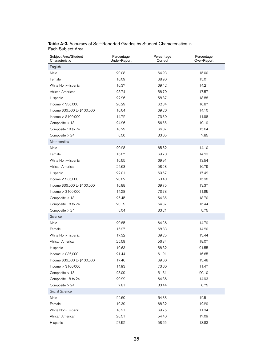| Subject Area/Student<br>Characteristic | Percentage<br>Under-Report | Percentage<br>Correct | Percentage<br>Over-Report |
|----------------------------------------|----------------------------|-----------------------|---------------------------|
| English                                |                            |                       |                           |
| Male                                   | 20.08                      | 64.93                 | 15.00                     |
| Female                                 | 16.09                      | 68.90                 | 15.01                     |
| White Non-Hispanic                     | 16.37                      | 69.42                 | 14.21                     |
| African American                       | 23.74                      | 58.70                 | 17.57                     |
| Hispanic                               | 22.26                      | 58.87                 | 18.88                     |
| Income $<$ \$36,000                    | 20.29                      | 62.84                 | 16.87                     |
| Income \$36,000 to \$100,000           | 16.64                      | 69.26                 | 14.10                     |
| lncome > \$100,000                     | 14.72                      | 73.30                 | 11.98                     |
| Composite < 18                         | 24.26                      | 56.55                 | 19.19                     |
| Composite 18 to 24                     | 18.29                      | 66.07                 | 15.64                     |
| Composite > 24                         | 8.50                       | 83.65                 | 7.85                      |
| Mathematics                            |                            |                       |                           |
| Male                                   | 20.28                      | 65.62                 | 14.10                     |
| Female                                 | 16.07                      | 69.70                 | 14.23                     |
| White Non-Hispanic                     | 16.55                      | 69.91                 | 13.54                     |
| African American                       | 24.63                      | 58.58                 | 16.79                     |
| Hispanic                               | 22.01                      | 60.57                 | 17.42                     |
| Income $<$ \$36,000                    | 20.62                      | 63.40                 | 15.98                     |
| Income \$36,000 to \$100,000           | 16.88                      | 69.75                 | 13.37                     |
| lncome > \$100,000                     | 14.28                      | 73.78                 | 11.95                     |
| Composite < 18                         | 26.45                      | 54.85                 | 18.70                     |
| Composite 18 to 24                     | 20.19                      | 64.37                 | 15.44                     |
| Composite > 24                         | 8.04                       | 83.21                 | 8.75                      |
| Science                                |                            |                       |                           |
| Male                                   | 20.85                      | 64.36                 | 14.79                     |
| Female                                 | 16.97                      | 68.83                 | 14.20                     |
| White Non-Hispanic                     | 17.32                      | 69.25                 | 13.44                     |
| African American                       | 25.59                      | 56.34                 | 18.07                     |
| Hispanic                               | 19.63                      | 58.82                 | 21.55                     |
| Income $<$ \$36,000                    | 21.44                      | 61.91                 | 16.65                     |
| Income \$36,000 to \$100,000           | 17.46                      | 69.06                 | 13.48                     |
| Income > \$100,000                     | 14.93                      | 73.60                 | 11.47                     |
| Composite < 18                         | 28.09                      | 51.81                 | 20.10                     |
| Composite 18 to 24                     | 20.22                      | 64.86                 | 14.93                     |
| Composite > 24                         | 7.81                       | 83.44                 | 8.75                      |
| Social Science                         |                            |                       |                           |
| Male                                   | 22.60                      | 64.88                 | 12.51                     |
| Female                                 | 19.39                      | 68.32                 | 12.29                     |
| White Non-Hispanic                     | 18.91                      | 69.75                 | 11.34                     |
| African American                       | 28.51                      | 54.40                 | 17.09                     |
| Hispanic                               | 27.52                      | 58.65                 | 13.83                     |

#### Table A-3. Accuracy of Self-Reported Grades by Student Characteristics in Each Subject Area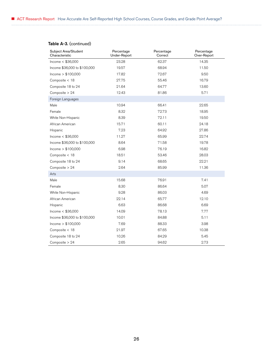## Table A-3. (continued)

| Subject Area/Student<br>Characteristic | Percentage<br>Under-Report | Percentage<br>Correct | Percentage<br>Over-Report |
|----------------------------------------|----------------------------|-----------------------|---------------------------|
| Income $<$ \$36,000                    | 23.28                      | 62.37                 | 14.35                     |
| Income \$36,000 to \$100,000           | 19.57                      | 68.94                 | 11.50                     |
| lncome > \$100,000                     | 17.82                      | 72.67                 | 9.50                      |
| Composite < 18                         | 27.75                      | 55.46                 | 16.79                     |
| Composite 18 to 24                     | 21.64                      | 64.77                 | 13.60                     |
| Composite $> 24$                       | 12.43                      | 81.86                 | 5.71                      |
| Foreign Languages                      |                            |                       |                           |
| Male                                   | 10.94                      | 66.41                 | 22.65                     |
| Female                                 | 8.32                       | 72.73                 | 18.95                     |
| White Non-Hispanic                     | 8.39                       | 72.11                 | 19.50                     |
| African American                       | 15.71                      | 60.11                 | 24.18                     |
| Hispanic                               | 7.23                       | 64.92                 | 27.86                     |
| Income $<$ \$36,000                    | 11.27                      | 65.99                 | 22.74                     |
| Income \$36,000 to \$100,000           | 8.64                       | 71.58                 | 19.78                     |
| lncome > \$100,000                     | 6.98                       | 76.19                 | 16.82                     |
| Composite < 18                         | 18.51                      | 53.46                 | 28.03                     |
| Composite 18 to 24                     | 9.14                       | 68.65                 | 22.21                     |
| Composite > 24                         | 2.64                       | 85.99                 | 11.36                     |
| Arts                                   |                            |                       |                           |
| Male                                   | 15.68                      | 76.91                 | 7.41                      |
| Female                                 | 8.30                       | 86.64                 | 5.07                      |
| White Non-Hispanic                     | 9.28                       | 86.03                 | 4.69                      |
| African American                       | 22.14                      | 65.77                 | 12.10                     |
| Hispanic                               | 6.63                       | 86.68                 | 6.69                      |
| Income $<$ \$36,000                    | 14.09                      | 78.13                 | 7.77                      |
| Income \$36,000 to \$100,000           | 10.01                      | 84.88                 | 5.11                      |
| lncome > \$100,000                     | 7.69                       | 88.33                 | 3.98                      |
| Composite < 18                         | 21.97                      | 67.65                 | 10.38                     |
| Composite 18 to 24                     | 10.26                      | 84.29                 | 5.45                      |
| Composite > 24                         | 2.65                       | 94.62                 | 2.73                      |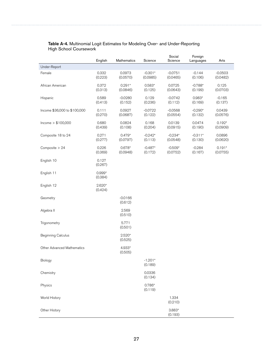|                                   | English             | Mathematics          | Science               | Social<br>Science     | Foreign<br>Languages | Arts                  |
|-----------------------------------|---------------------|----------------------|-----------------------|-----------------------|----------------------|-----------------------|
| Under-Report                      |                     |                      |                       |                       |                      |                       |
| Female                            | 0.332<br>(0.223)    | 0.0973<br>(0.0570)   | $-0.301*$<br>(0.0985) | $-0.0751$<br>(0.0465) | $-0.144$<br>(0.106)  | $-0.0503$<br>(0.0482) |
| African American                  | 0.372<br>(0.313)    | $0.291*$<br>(0.0846) | $0.583*$<br>(0.125)   | 0.0725<br>(0.0643)    | $-0.788*$<br>(0.199) | 0.125<br>(0.0703)     |
| Hispanic                          | 0.589<br>(0.413)    | $-0.0280$<br>(0.152) | 0.129<br>(0.236)      | $-0.0742$<br>(0.112)  | $0.983*$<br>(0.169)  | $-0.165$<br>(0.137)   |
| Income \$36,000 to \$100,000      | 0.111<br>(0.270)    | 0.0927<br>(0.0687)   | $-0.0722$<br>(0.122)  | $-0.0568$<br>(0.0554) | $-0.290*$<br>(0.132) | 0.0439<br>(0.0576)    |
| Income $> $100,000$               | 0.680<br>(0.439)    | 0.0824<br>(0.108)    | 0.168<br>(0.204)      | 0.0139<br>(0.0915)    | 0.0474<br>(0.190)    | $0.192*$<br>(0.0909)  |
| Composite 18 to 24                | 0.271<br>(0.277)    | $0.479*$<br>(0.0797) | $-0.242*$<br>(0.113)  | $-0.234*$<br>(0.0548) | $-0.311*$<br>(0.130) | 0.0896<br>(0.0620)    |
| Composite $> 24$                  | 0.226<br>(0.369)    | $0.678*$<br>(0.0948) | $-0.487*$<br>(0.172)  | $-0.509*$<br>(0.0752) | $-0.284$<br>(0.167)  | $0.191*$<br>(0.0755)  |
| English 10                        | 0.127<br>(0.267)    |                      |                       |                       |                      |                       |
| English 11                        | $0.999*$<br>(0.384) |                      |                       |                       |                      |                       |
| English 12                        | $2.620*$<br>(0.424) |                      |                       |                       |                      |                       |
| Geometry                          |                     | $-0.0166$<br>(0.612) |                       |                       |                      |                       |
| Algebra II                        |                     | 2.569<br>(0.510)     |                       |                       |                      |                       |
| Trigonometry                      |                     | 5.771<br>(0.501)     |                       |                       |                      |                       |
| Beginning Calculus                |                     | $2.520*$<br>(0.525)  |                       |                       |                      |                       |
| <b>Other Advanced Mathematics</b> |                     | 4.933*<br>(0.505)    |                       |                       |                      |                       |
| Biology                           |                     |                      | $-1.201*$<br>(0.189)  |                       |                      |                       |
| Chemistry                         |                     |                      | 0.0336<br>(0.134)     |                       |                      |                       |
| Physics                           |                     |                      | $0.786*$<br>(0.119)   |                       |                      |                       |
| World History                     |                     |                      |                       | 1.334<br>(0.210)      |                      |                       |
| Other History                     |                     |                      |                       | $3.883*$<br>(0.193)   |                      |                       |

#### Table A-4. Multinomial Logit Estimates for Modeling Over- and Under-Reporting High School Coursework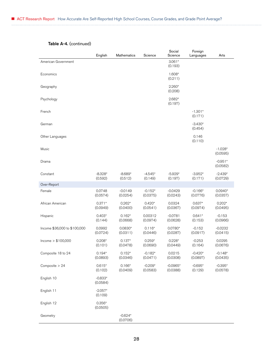|                              | English               | Mathematics           | Science               | Social<br>Science      | Foreign<br>Languages  | Arts                  |
|------------------------------|-----------------------|-----------------------|-----------------------|------------------------|-----------------------|-----------------------|
| American Government          |                       |                       |                       | $3.061*$<br>(0.193)    |                       |                       |
| Economics                    |                       |                       |                       | 1.608*<br>(0.211)      |                       |                       |
| Geography                    |                       |                       |                       | $2.260*$<br>(0.208)    |                       |                       |
| Psychology                   |                       |                       |                       | 2.682*<br>(0.197)      |                       |                       |
| French                       |                       |                       |                       |                        | $-1.301*$<br>(0.171)  |                       |
| German                       |                       |                       |                       |                        | $-3.430*$<br>(0.454)  |                       |
| Other Languages              |                       |                       |                       |                        | 0.146<br>(0.110)      |                       |
| Music                        |                       |                       |                       |                        |                       | $-1.028*$<br>(0.0595) |
| Drama                        |                       |                       |                       |                        |                       | $-0.951*$<br>(0.0582) |
| Constant                     | $-8.328*$<br>(0.592)  | $-8.689*$<br>(0.512)  | $-4.545*$<br>(0.149)  | $-5.929*$<br>(0.197)   | $-3.952*$<br>(0.171)  | $-2.439*$<br>(0.0729) |
| Over-Report                  |                       |                       |                       |                        |                       |                       |
| Female                       | 0.0748<br>(0.0574)    | $-0.0149$<br>(0.0254) | $-0.152*$<br>(0.0375) | $-0.0429$<br>(0.0243)  | $-0.166*$<br>(0.0776) | $0.0940*$<br>(0.0357) |
| African American             | $0.371*$<br>(0.0949)  | $0.262*$<br>(0.0400)  | $0.420*$<br>(0.0541)  | 0.0324<br>(0.0367)     | $0.637*$<br>(0.0974)  | $0.202*$<br>(0.0495)  |
| Hispanic                     | $0.403*$<br>(0.144)   | $0.162*$<br>(0.0668)  | 0.00312<br>(0.0974)   | $-0.0781$<br>(0.0628)  | $0.641*$<br>(0.153)   | $-0.153$<br>(0.0966)  |
| Income \$36,000 to \$100,000 | 0.0992<br>(0.0724)    | $0.0830*$<br>(0.0311) | $0.116*$<br>(0.0446)  | $0.0780*$<br>(0.0287)  | $-0.152$<br>(0.0917)  | $-0.0232$<br>(0.0415) |
| Income $> $100,000$          | $0.208*$<br>(0.101)   | $0.137*$<br>(0.0478)  | $0.259*$<br>(0.0690)  | $0.228*$<br>(0.0449)   | $-0.253$<br>(0.164)   | 0.0295<br>(0.0676)    |
| Composite 18 to 24           | $0.194*$<br>(0.0893)  | $0.152*$<br>(0.0346)  | $-0.182*$<br>(0.0471) | 0.0215<br>(0.0308)     | $-0.420*$<br>(0.0897) | $-0.148*$<br>(0.0435) |
| Composite > 24               | $0.615*$<br>(0.102)   | $0.166*$<br>(0.0409)  | $-0.209*$<br>(0.0583) | $-0.0965*$<br>(0.0388) | $-0.695*$<br>(0.129)  | $-0.395*$<br>(0.0578) |
| English 10                   | $-0.833*$<br>(0.0584) |                       |                       |                        |                       |                       |
| English 11                   | $-2.057*$<br>(0.109)  |                       |                       |                        |                       |                       |
| English 12                   | $0.356*$<br>(0.0505)  |                       |                       |                        |                       |                       |
| Geometry                     |                       | $-0.624*$<br>(0.0706) |                       |                        |                       |                       |

## Table A-4. (continued)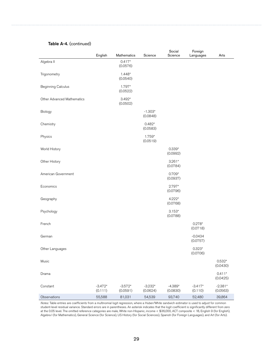### Table A-4. (continued)

|                            | English              | Mathematics           | Science               | Social<br>Science     | Foreign<br>Languages  | Arts                  |
|----------------------------|----------------------|-----------------------|-----------------------|-----------------------|-----------------------|-----------------------|
| Algebra II                 |                      | $0.417*$<br>(0.0576)  |                       |                       |                       |                       |
| Trigonometry               |                      | $1.448*$<br>(0.0540)  |                       |                       |                       |                       |
| <b>Beginning Calculus</b>  |                      | 1.797*<br>(0.0522)    |                       |                       |                       |                       |
| Other Advanced Mathematics |                      | $3.492*$<br>(0.0502)  |                       |                       |                       |                       |
| Biology                    |                      |                       | $-1.303*$<br>(0.0848) |                       |                       |                       |
| Chemistry                  |                      |                       | $0.482*$<br>(0.0583)  |                       |                       |                       |
| Physics                    |                      |                       | 1.759*<br>(0.0519)    |                       |                       |                       |
| World History              |                      |                       |                       | $0.339*$<br>(0.0992)  |                       |                       |
| Other History              |                      |                       |                       | $3.261*$<br>(0.0784)  |                       |                       |
| American Government        |                      |                       |                       | $0.709*$<br>(0.0937)  |                       |                       |
| Economics                  |                      |                       |                       | 2.797*<br>(0.0796)    |                       |                       |
| Geography                  |                      |                       |                       | $4.222*$<br>(0.0768)  |                       |                       |
| Psychology                 |                      |                       |                       | $3.153*$<br>(0.0788)  |                       |                       |
| French                     |                      |                       |                       |                       | $0.278*$<br>(0.0718)  |                       |
| German                     |                      |                       |                       |                       | $-0.0434$<br>(0.0757) |                       |
| Other Languages            |                      |                       |                       |                       | $0.323*$<br>(0.0706)  |                       |
| Music                      |                      |                       |                       |                       |                       | $0.532*$<br>(0.0430)  |
| Drama                      |                      |                       |                       |                       |                       | $0.411*$<br>(0.0425)  |
| Constant                   | $-3.472*$<br>(0.111) | $-3.572*$<br>(0.0591) | $-3.232*$<br>(0.0624) | $-4.389*$<br>(0.0830) | $-3.417*$<br>(0.110)  | $-2.381*$<br>(0.0563) |
| Observations               | 55,588               | 81,031                | 54,539                | 93,740                | 52,480                | 39,864                |

*Notes:* Table entries are coefficients from a multinomial logit regression, where a Huber/White sandwich estimator is used to adjust for common student-level residual variance. Standard errors are in parentheses. An asterisk indicates that the logit coefficient is significantly different from zero at the 0.05 level. The omitted reference categories are male, White non-Hispanic, income < \$36,000, ACT composite < 18, English 9 (for English), Algebra I (for Mathematics), General Science (for Science), US History (for Social Sciences), Spanish (for Foreign Languages), and Art (for Arts).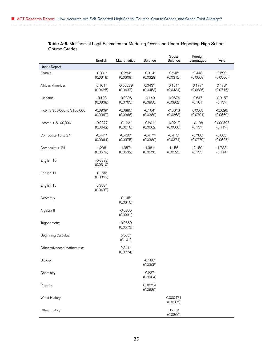| Table A-5. Multinomial Logit Estimates for Modeling Over- and Under-Reporting High School |  |
|-------------------------------------------------------------------------------------------|--|
| Course Grades                                                                             |  |

|                                   | English                | Mathematics            | Science               | Social<br>Science     | Foreign<br>Languages  | Arts                  |
|-----------------------------------|------------------------|------------------------|-----------------------|-----------------------|-----------------------|-----------------------|
| Under-Report                      |                        |                        |                       |                       |                       |                       |
| Female                            | $-0.301*$<br>(0.0318)  | $-0.284*$<br>(0.0309)  | $-0.314*$<br>(0.0329) | $-0.245*$<br>(0.0312) | $-0.448*$<br>(0.0668) | $-0.599*$<br>(0.0566) |
| African American                  | $0.101*$<br>(0.0425)   | $-0.00279$<br>(0.0437) | 0.0437<br>(0.0453)    | $0.121*$<br>(0.0434)  | $0.177*$<br>(0.0886)  | $0.478*$<br>(0.0716)  |
| Hispanic                          | $-0.108$<br>(0.0808)   | $-0.0896$<br>(0.0765)  | $-0.140$<br>(0.0850)  | $-0.0674$<br>(0.0802) | $-0.647*$<br>(0.181)  | $-0.0157$<br>(0.137)  |
| Income \$36,000 to \$100,000      | $-0.0909*$<br>(0.0367) | $-0.0885*$<br>(0.0366) | $-0.164*$<br>(0.0389) | $-0.0618$<br>(0.0368) | 0.0568<br>(0.0791)    | $-0.0295$<br>(0.0669) |
| Income $> $100,000$               | $-0.0877$<br>(0.0642)  | $-0.123*$<br>(0.0616)  | $-0.201*$<br>(0.0662) | $-0.0217$<br>(0.0600) | $-0.108$<br>(0.137)   | 0.000595<br>(0.117)   |
| Composite 18 to 24                | $-0.441*$<br>(0.0364)  | $-0.460*$<br>(0.0375)  | $-0.417*$<br>(0.0389) | $-0.413*$<br>(0.0374) | $-0.788*$<br>(0.0770) | $-0.685*$<br>(0.0627) |
| Composite $> 24$                  | $-1.298*$<br>(0.0579)  | $-1.357*$<br>(0.0532)  | $-1.381*$<br>(0.0576) | $-1.156*$<br>(0.0525) | $-2.150*$<br>(0.133)  | $-1.738*$<br>(0.114)  |
| English 10                        | $-0.0282$<br>(0.0310)  |                        |                       |                       |                       |                       |
| English 11                        | $-0.155*$<br>(0.0362)  |                        |                       |                       |                       |                       |
| English 12                        | $0.353*$<br>(0.0437)   |                        |                       |                       |                       |                       |
| Geometry                          |                        | $-0.145*$<br>(0.0315)  |                       |                       |                       |                       |
| Algebra II                        |                        | $-0.0605$<br>(0.0331)  |                       |                       |                       |                       |
| Trigonometry                      |                        | $-0.0669$<br>(0.0573)  |                       |                       |                       |                       |
| <b>Beginning Calculus</b>         |                        | $0.503*$<br>(0.101)    |                       |                       |                       |                       |
| <b>Other Advanced Mathematics</b> |                        | $0.341*$<br>(0.0774)   |                       |                       |                       |                       |
| Biology                           |                        |                        | $-0.186*$<br>(0.0305) |                       |                       |                       |
| Chemistry                         |                        |                        | $-0.237*$<br>(0.0364) |                       |                       |                       |
| Physics                           |                        |                        | 0.00754<br>(0.0680)   |                       |                       |                       |
| World History                     |                        |                        |                       | 0.000471<br>(0.0307)  |                       |                       |
| Other History                     |                        |                        |                       | $0.203*$<br>(0.0860)  |                       |                       |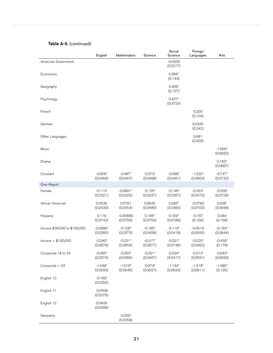| Table A-5. (continued) |  |  |
|------------------------|--|--|
|------------------------|--|--|

|                              | English                | Mathematics            | Science               | Social<br>Science     | Foreign<br>Languages  | Arts                  |
|------------------------------|------------------------|------------------------|-----------------------|-----------------------|-----------------------|-----------------------|
| American Government          |                        |                        |                       | $-0.0505$<br>(0.0317) |                       |                       |
| Economics                    |                        |                        |                       | $0.369*$<br>(0.144)   |                       |                       |
| Geography                    |                        |                        |                       | $0.309*$<br>(0.127)   |                       |                       |
| Psychology                   |                        |                        |                       | $0.437*$<br>(0.0723)  |                       |                       |
| French                       |                        |                        |                       |                       | 0.200<br>(0.104)      |                       |
| German                       |                        |                        |                       |                       | 0.0335<br>(0.242)     |                       |
| Other Languages              |                        |                        |                       |                       | 0.681<br>(0.400)      |                       |
| Music                        |                        |                        |                       |                       |                       | $-1.856*$<br>(0.0920) |
| Drama                        |                        |                        |                       |                       |                       | $0.183*$<br>(0.0667)  |
| Constant                     | $-0.658*$<br>(0.0458)  | $-0.487*$<br>(0.0457)  | $-0.373*$<br>(0.0468) | $-0.569*$<br>(0.0461) | $-1.030*$<br>(0.0903) | $-0.747*$<br>(0.0732) |
| Over-Report                  |                        |                        |                       |                       |                       |                       |
| Female                       | $-0.113*$<br>(0.0321)  | $-0.0891*$<br>(0.0322) | $-0.125*$<br>(0.0337) | $-0.146*$<br>(0.0357) | $-0.353*$<br>(0.0472) | $-0.559*$<br>(0.0726) |
| African American             | 0.0539<br>(0.0439)     | 0.0781<br>(0.0454)     | 0.0645<br>(0.0480)    | $0.285*$<br>(0.0483)  | $-0.0783$<br>(0.0702) | $0.338*$<br>(0.0948)  |
| Hispanic                     | 0.119<br>(0.0742)      | $-0.00689$<br>(0.0759) | $0.166*$<br>(0.0755)  | $0.159*$<br>(0.0786)  | $-0.167$<br>(0.109)   | 0.284<br>(0.158)      |
| Income \$36,000 to \$100,000 | $-0.0899*$<br>(0.0385) | $-0.128*$<br>(0.0373)  | $-0.185*$<br>(0.0408) | $-0.119*$<br>(0.0419) | $-0.0519$<br>(0.0555) | $-0.193*$<br>(0.0844) |
| lncome > \$100,000           | $-0.240*$<br>(0.0676)  | $-0.221*$<br>(0.0654)  | $-0.317*$<br>(0.0677) | $-0.251*$<br>(0.0748) | $-0.225*$<br>(0.0953) | $-0.459*$<br>(0.178)  |
| Composite 18 to 24           | $-0.285*$<br>(0.0374)  | $-0.293*$<br>(0.0395)  | $-0.291*$<br>(0.0407) | $-0.334*$<br>(0.0417) | $-0.313*$<br>(0.0591) | $-0.643*$<br>(0.0833) |
| Composite > 24               | $-1.048*$<br>(0.0593)  | $-1.016*$<br>(0.0546)  | $-0.974*$<br>(0.0557) | $-1.134*$<br>(0.0633) | $-1.218*$<br>(0.0811) | $-1.385*$<br>(0.135)  |
| English 10                   | $-0.199*$<br>(0.0350)  |                        |                       |                       |                       |                       |
| English 11                   | $-0.0506$<br>(0.0379)  |                        |                       |                       |                       |                       |
| English 12                   | 0.0409<br>(0.0499)     |                        |                       |                       |                       |                       |
| Geometry                     |                        | $-0.259*$<br>(0.0359)  |                       |                       |                       |                       |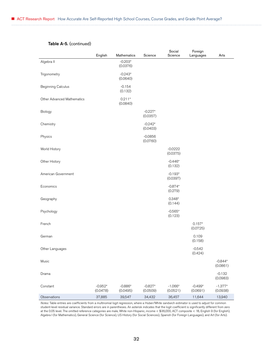#### Table A-5. (continued)

|                            | English               | Mathematics           | Science               | Social<br>Science     | Foreign<br>Languages  | Arts                  |
|----------------------------|-----------------------|-----------------------|-----------------------|-----------------------|-----------------------|-----------------------|
| Algebra II                 |                       | $-0.203*$             |                       |                       |                       |                       |
|                            |                       | (0.0376)              |                       |                       |                       |                       |
| Trigonometry               |                       | $-0.243*$<br>(0.0640) |                       |                       |                       |                       |
| <b>Beginning Calculus</b>  |                       | $-0.154$<br>(0.132)   |                       |                       |                       |                       |
| Other Advanced Mathematics |                       | $0.211*$<br>(0.0840)  |                       |                       |                       |                       |
| Biology                    |                       |                       | $-0.227*$<br>(0.0357) |                       |                       |                       |
| Chemistry                  |                       |                       | $-0.242*$<br>(0.0403) |                       |                       |                       |
| Physics                    |                       |                       | $-0.0856$<br>(0.0760) |                       |                       |                       |
| World History              |                       |                       |                       | $-0.0222$<br>(0.0375) |                       |                       |
| Other History              |                       |                       |                       | $-0.446*$<br>(0.132)  |                       |                       |
| American Government        |                       |                       |                       | $-0.193*$<br>(0.0397) |                       |                       |
| Economics                  |                       |                       |                       | $-0.874*$<br>(0.279)  |                       |                       |
| Geography                  |                       |                       |                       | $0.348*$<br>(0.144)   |                       |                       |
| Psychology                 |                       |                       |                       | $-0.565*$<br>(0.123)  |                       |                       |
| French                     |                       |                       |                       |                       | $0.157*$<br>(0.0725)  |                       |
| German                     |                       |                       |                       |                       | 0.109<br>(0.158)      |                       |
| Other Languages            |                       |                       |                       |                       | $-0.542$<br>(0.424)   |                       |
| Music                      |                       |                       |                       |                       |                       | $-0.844*$<br>(0.0861) |
| Drama                      |                       |                       |                       |                       |                       | $-0.132$<br>(0.0983)  |
| Constant                   | $-0.952*$<br>(0.0478) | $-0.886*$<br>(0.0495) | $-0.827*$<br>(0.0509) | $-1.066*$<br>(0.0521) | $-0.499*$<br>(0.0691) | $-1.377*$<br>(0.0938) |
| Observations               | 37,885                | 39,547                | 34,432                | 36,457                | 11,644                | 13,940                |

*Notes:* Table entries are coefficients from a multinomial logit regression, where a Huber/White sandwich estimator is used to adjust for common student-level residual variance. Standard errors are in parentheses. An asterisk indicates that the logit coefficient is significantly different from zero at the 0.05 level. The omitted reference categories are male, White non-Hispanic, income < \$36,000, ACT composite < 18, English 9 (for English), Algebra I (for Mathematics), General Science (for Science), US History (for Social Sciences), Spanish (for Foreign Languages), and Art (for Arts).